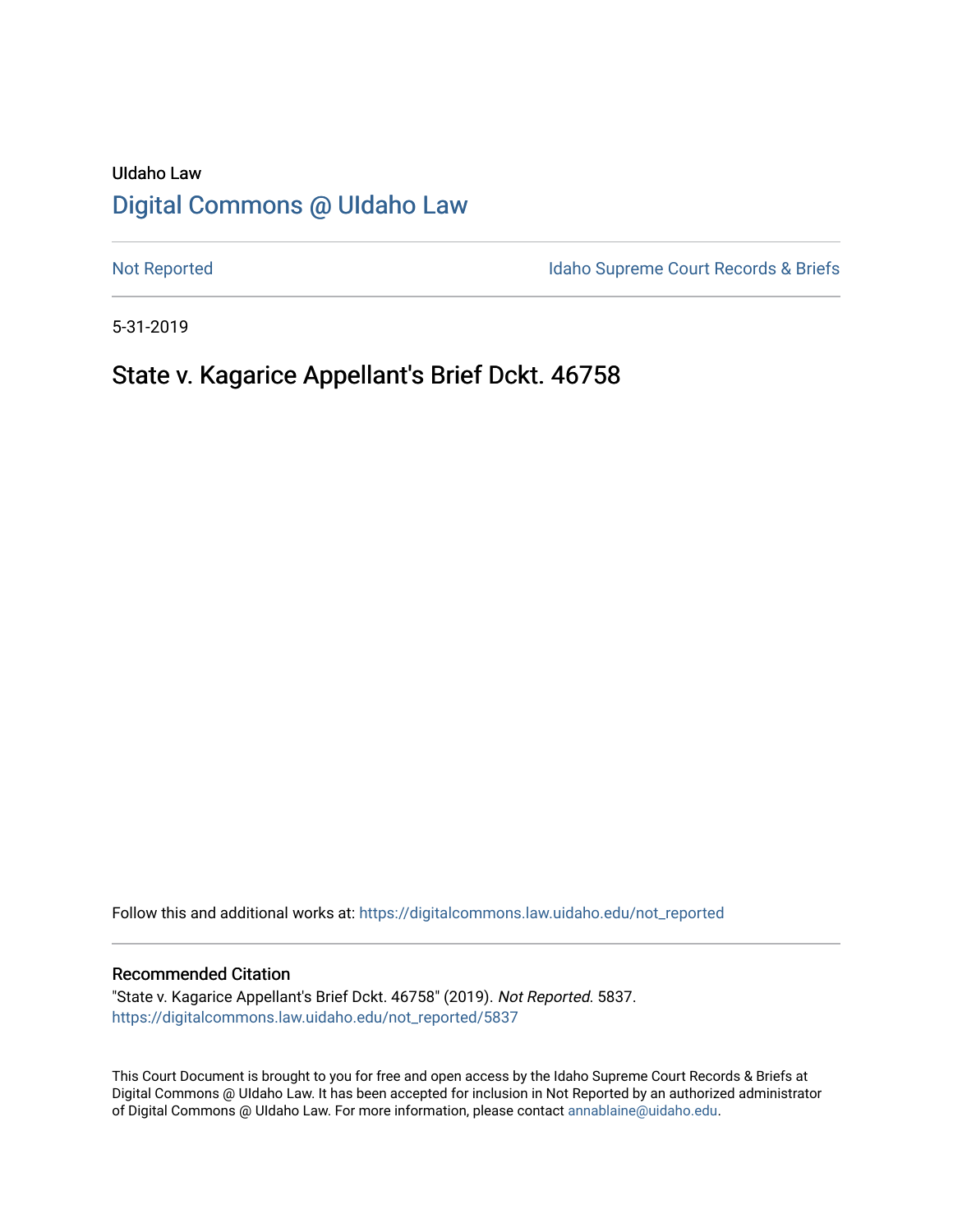# UIdaho Law [Digital Commons @ UIdaho Law](https://digitalcommons.law.uidaho.edu/)

[Not Reported](https://digitalcommons.law.uidaho.edu/not_reported) **Idaho Supreme Court Records & Briefs** 

5-31-2019

# State v. Kagarice Appellant's Brief Dckt. 46758

Follow this and additional works at: [https://digitalcommons.law.uidaho.edu/not\\_reported](https://digitalcommons.law.uidaho.edu/not_reported?utm_source=digitalcommons.law.uidaho.edu%2Fnot_reported%2F5837&utm_medium=PDF&utm_campaign=PDFCoverPages) 

#### Recommended Citation

"State v. Kagarice Appellant's Brief Dckt. 46758" (2019). Not Reported. 5837. [https://digitalcommons.law.uidaho.edu/not\\_reported/5837](https://digitalcommons.law.uidaho.edu/not_reported/5837?utm_source=digitalcommons.law.uidaho.edu%2Fnot_reported%2F5837&utm_medium=PDF&utm_campaign=PDFCoverPages)

This Court Document is brought to you for free and open access by the Idaho Supreme Court Records & Briefs at Digital Commons @ UIdaho Law. It has been accepted for inclusion in Not Reported by an authorized administrator of Digital Commons @ UIdaho Law. For more information, please contact [annablaine@uidaho.edu](mailto:annablaine@uidaho.edu).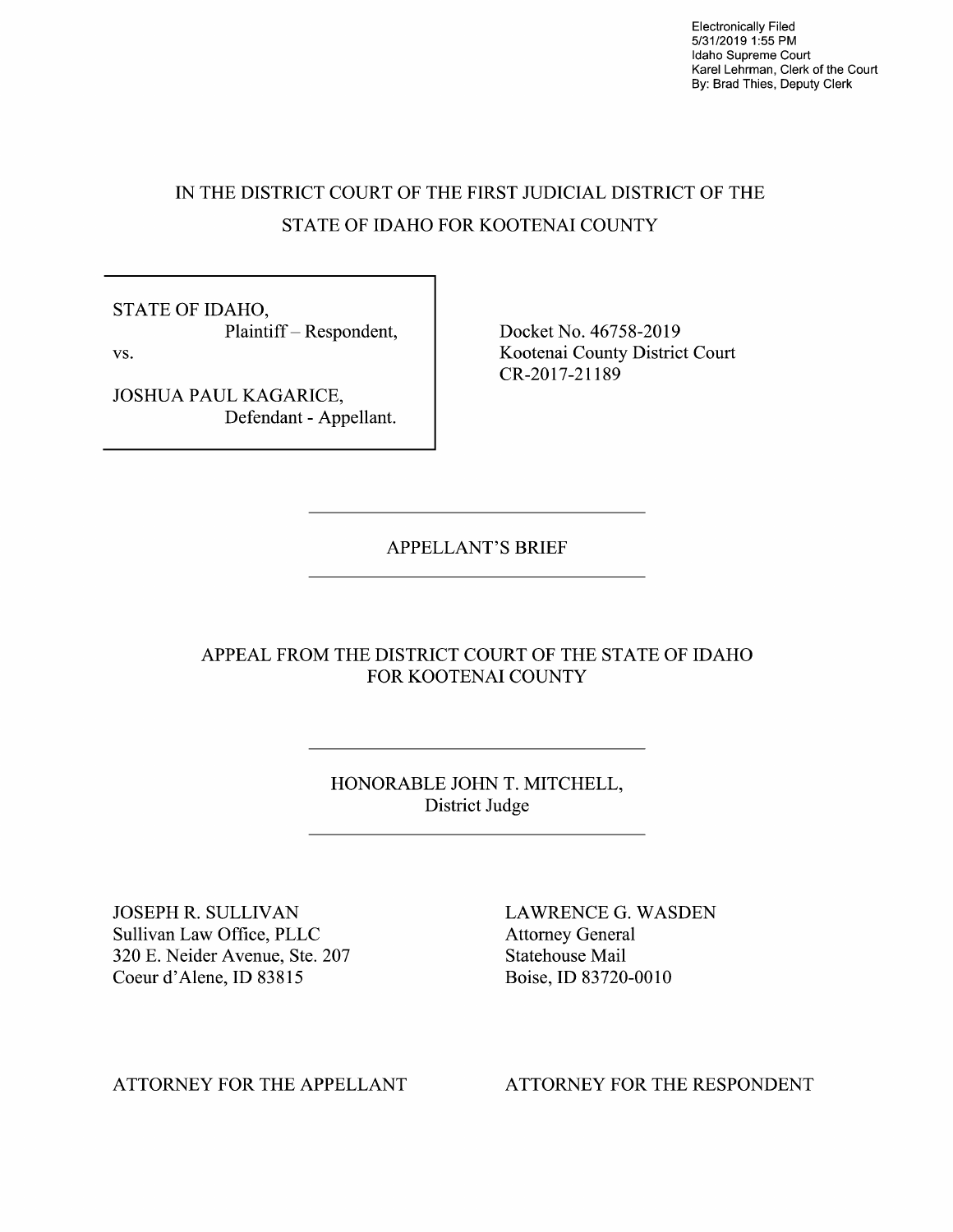Electronically Filed 5/31/2019 1:55 PM Idaho Supreme Court Karel Lehrman, Clerk of the Court By: Brad Thies, Deputy Clerk

# IN THE DISTRICT COURT OF THE FIRST JUDICIAL DISTRICT OF THE STATE OF IDAHO FOR KOOTENAI COUNTY

STATE OF IDAHO, Plaintiff - Respondent, vs.

JOSHUA PAUL KAGARICE, Defendant - Appellant. Docket No. 46758-2019 Kootenai County District Court CR-2017-21189

APPELLANT'S BRIEF

APPEAL FROM THE DISTRICT COURT OF THE STATE OF IDAHO FOR KOOTENAI COUNTY

> HONORABLE JOHN T. MITCHELL, District Judge

JOSEPH R. SULLIVAN Sullivan Law Office, PLLC 320 E. Neider Avenue, Ste. 207 Coeur d'Alene, ID 83815

LAWRENCE G. WASDEN Attorney General Statehouse Mail Boise, ID 83720-0010

ATTORNEY FOR THE APPELLANT

ATTORNEY FOR THE RESPONDENT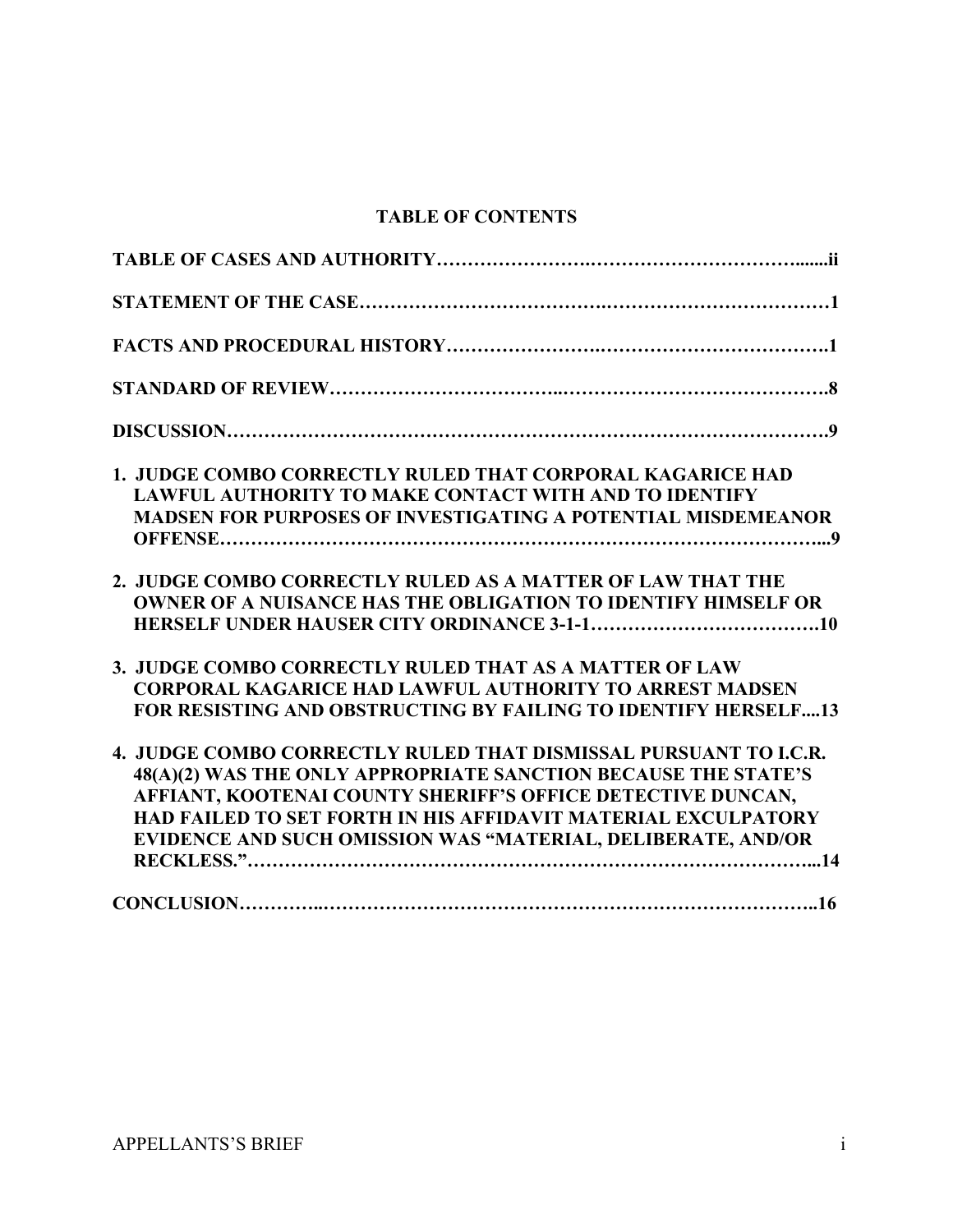# **TABLE OF CONTENTS**

| <b>1. JUDGE COMBO CORRECTLY RULED THAT CORPORAL KAGARICE HAD</b><br><b>LAWFUL AUTHORITY TO MAKE CONTACT WITH AND TO IDENTIFY</b><br><b>MADSEN FOR PURPOSES OF INVESTIGATING A POTENTIAL MISDEMEANOR</b>                                                                                                                                   |
|-------------------------------------------------------------------------------------------------------------------------------------------------------------------------------------------------------------------------------------------------------------------------------------------------------------------------------------------|
| 2. JUDGE COMBO CORRECTLY RULED AS A MATTER OF LAW THAT THE<br><b>OWNER OF A NUISANCE HAS THE OBLIGATION TO IDENTIFY HIMSELF OR</b>                                                                                                                                                                                                        |
| 3. JUDGE COMBO CORRECTLY RULED THAT AS A MATTER OF LAW<br><b>CORPORAL KAGARICE HAD LAWFUL AUTHORITY TO ARREST MADSEN</b><br>FOR RESISTING AND OBSTRUCTING BY FAILING TO IDENTIFY HERSELF13                                                                                                                                                |
| 4. JUDGE COMBO CORRECTLY RULED THAT DISMISSAL PURSUANT TO I.C.R.<br>48(A)(2) WAS THE ONLY APPROPRIATE SANCTION BECAUSE THE STATE'S<br>AFFIANT, KOOTENAI COUNTY SHERIFF'S OFFICE DETECTIVE DUNCAN,<br><b>HAD FAILED TO SET FORTH IN HIS AFFIDAVIT MATERIAL EXCULPATORY</b><br>EVIDENCE AND SUCH OMISSION WAS "MATERIAL, DELIBERATE, AND/OR |
|                                                                                                                                                                                                                                                                                                                                           |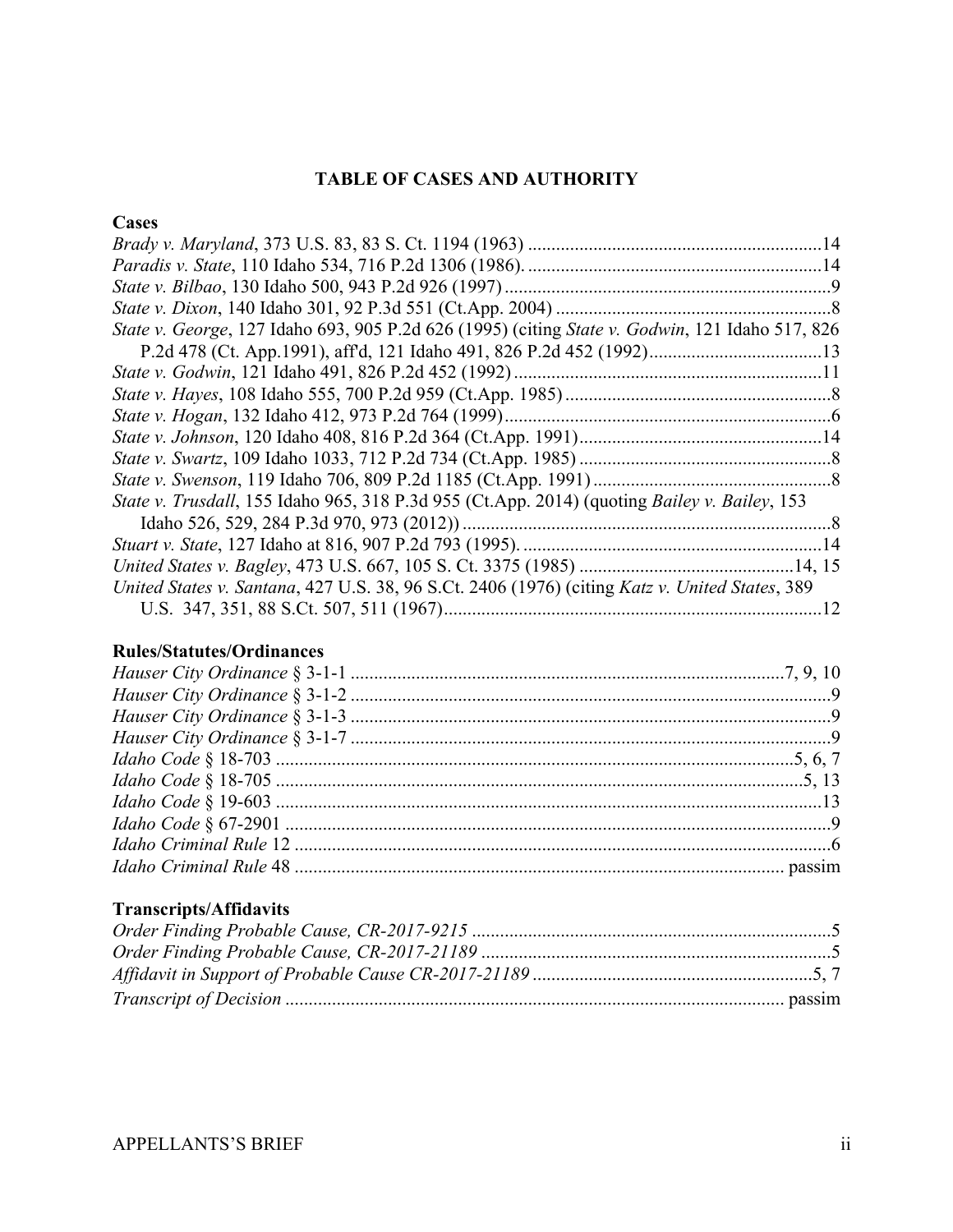# **TABLE OF CASES AND AUTHORITY**

# **Cases**

| State v. George, 127 Idaho 693, 905 P.2d 626 (1995) (citing State v. Godwin, 121 Idaho 517, 826 |  |
|-------------------------------------------------------------------------------------------------|--|
|                                                                                                 |  |
|                                                                                                 |  |
|                                                                                                 |  |
|                                                                                                 |  |
|                                                                                                 |  |
|                                                                                                 |  |
|                                                                                                 |  |
| State v. Trusdall, 155 Idaho 965, 318 P.3d 955 (Ct.App. 2014) (quoting Bailey v. Bailey, 153    |  |
|                                                                                                 |  |
|                                                                                                 |  |
|                                                                                                 |  |
| United States v. Santana, 427 U.S. 38, 96 S.Ct. 2406 (1976) (citing Katz v. United States, 389  |  |
|                                                                                                 |  |

## **Rules/Statutes/Ordinances**

# **Transcripts/Affidavits**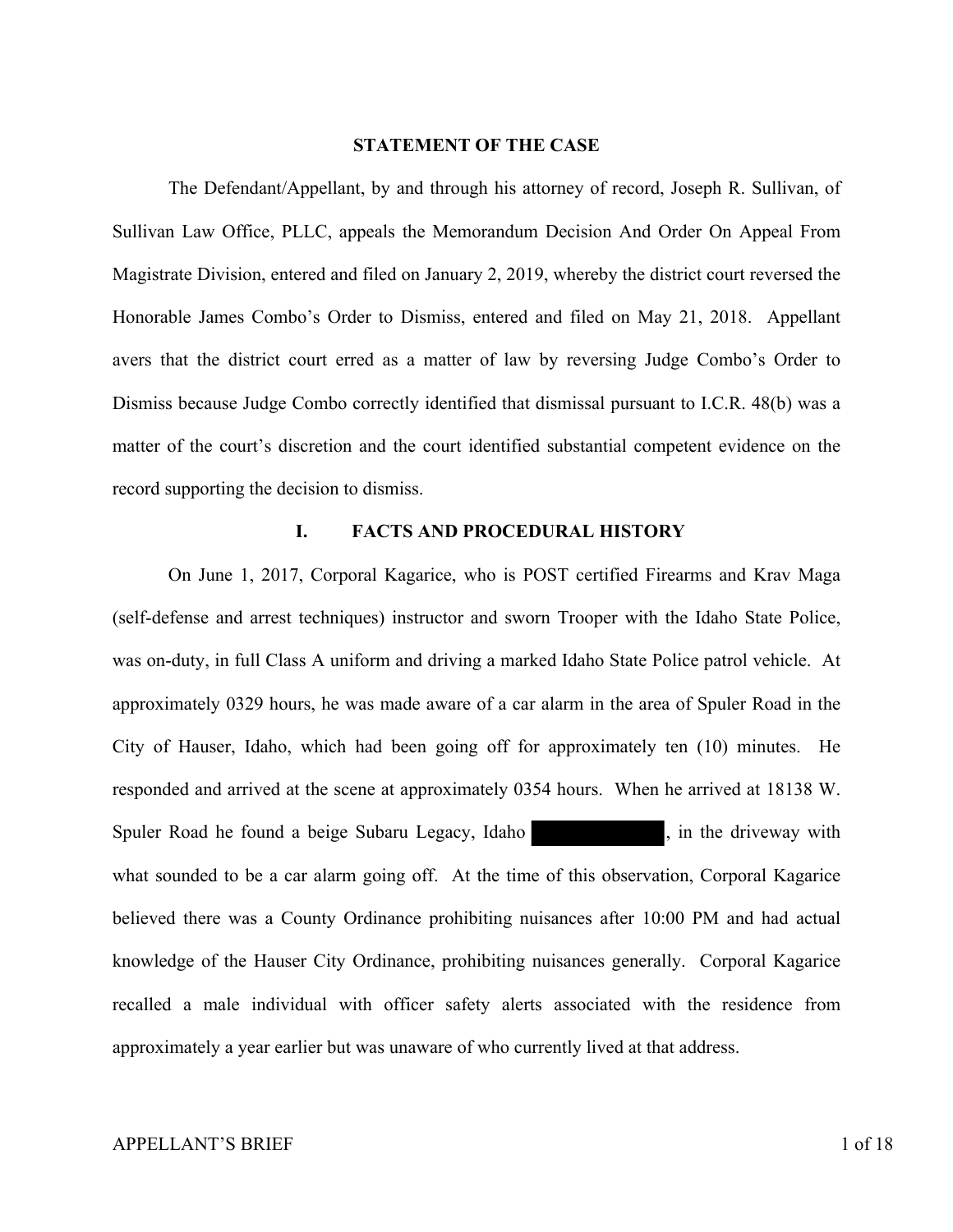#### **STATEMENT OF THE CASE**

 The Defendant/Appellant, by and through his attorney of record, Joseph R. Sullivan, of Sullivan Law Office, PLLC, appeals the Memorandum Decision And Order On Appeal From Magistrate Division, entered and filed on January 2, 2019, whereby the district court reversed the Honorable James Combo's Order to Dismiss, entered and filed on May 21, 2018. Appellant avers that the district court erred as a matter of law by reversing Judge Combo's Order to Dismiss because Judge Combo correctly identified that dismissal pursuant to I.C.R. 48(b) was a matter of the court's discretion and the court identified substantial competent evidence on the record supporting the decision to dismiss.

### **I. FACTS AND PROCEDURAL HISTORY**

 On June 1, 2017, Corporal Kagarice, who is POST certified Firearms and Krav Maga (self-defense and arrest techniques) instructor and sworn Trooper with the Idaho State Police, was on-duty, in full Class A uniform and driving a marked Idaho State Police patrol vehicle. At approximately 0329 hours, he was made aware of a car alarm in the area of Spuler Road in the City of Hauser, Idaho, which had been going off for approximately ten (10) minutes. He responded and arrived at the scene at approximately 0354 hours. When he arrived at 18138 W. Spuler Road he found a beige Subaru Legacy, Idaho , in the driveway with what sounded to be a car alarm going off. At the time of this observation, Corporal Kagarice believed there was a County Ordinance prohibiting nuisances after 10:00 PM and had actual knowledge of the Hauser City Ordinance, prohibiting nuisances generally. Corporal Kagarice recalled a male individual with officer safety alerts associated with the residence from approximately a year earlier but was unaware of who currently lived at that address.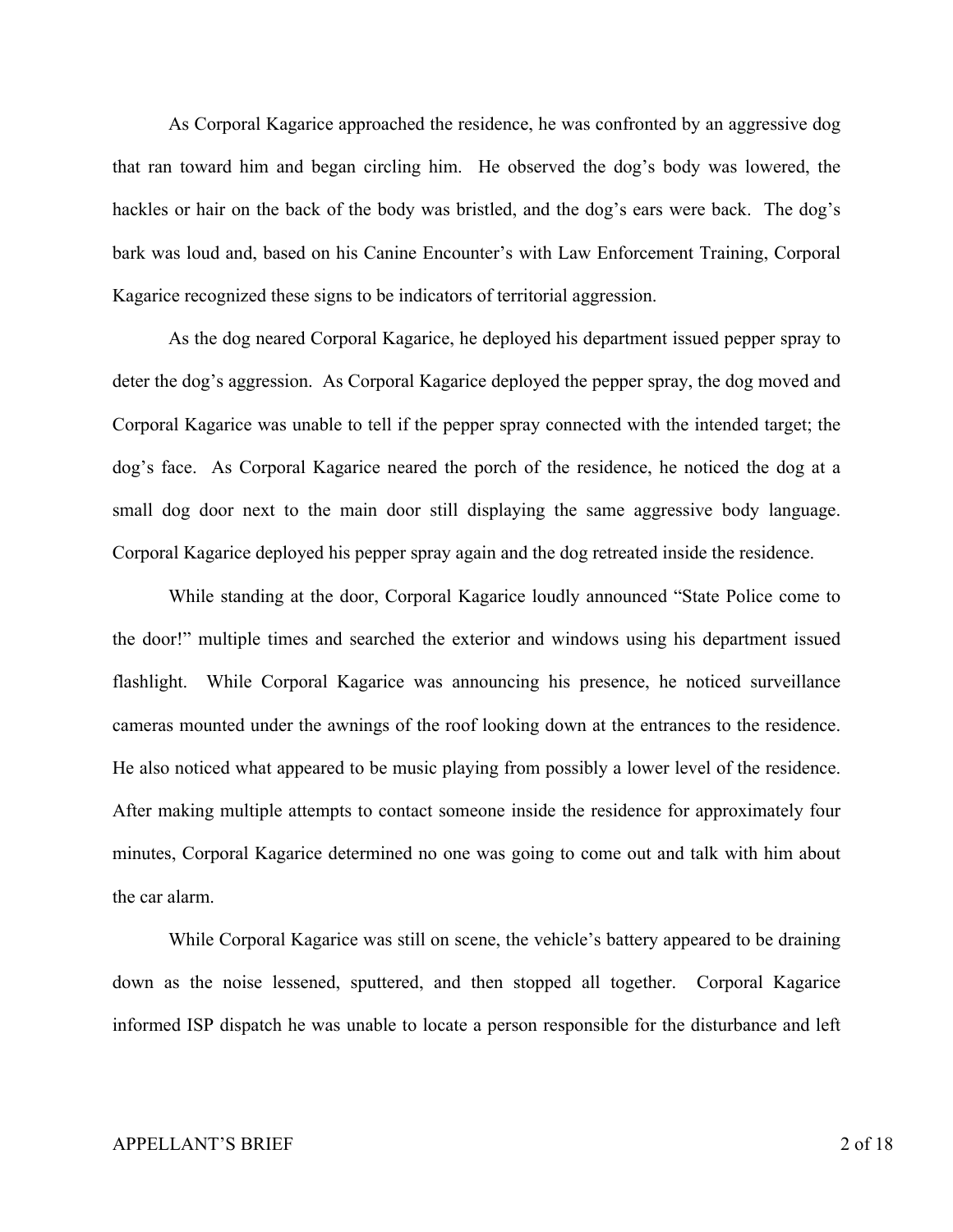As Corporal Kagarice approached the residence, he was confronted by an aggressive dog that ran toward him and began circling him. He observed the dog's body was lowered, the hackles or hair on the back of the body was bristled, and the dog's ears were back. The dog's bark was loud and, based on his Canine Encounter's with Law Enforcement Training, Corporal Kagarice recognized these signs to be indicators of territorial aggression.

 As the dog neared Corporal Kagarice, he deployed his department issued pepper spray to deter the dog's aggression. As Corporal Kagarice deployed the pepper spray, the dog moved and Corporal Kagarice was unable to tell if the pepper spray connected with the intended target; the dog's face. As Corporal Kagarice neared the porch of the residence, he noticed the dog at a small dog door next to the main door still displaying the same aggressive body language. Corporal Kagarice deployed his pepper spray again and the dog retreated inside the residence.

 While standing at the door, Corporal Kagarice loudly announced "State Police come to the door!" multiple times and searched the exterior and windows using his department issued flashlight. While Corporal Kagarice was announcing his presence, he noticed surveillance cameras mounted under the awnings of the roof looking down at the entrances to the residence. He also noticed what appeared to be music playing from possibly a lower level of the residence. After making multiple attempts to contact someone inside the residence for approximately four minutes, Corporal Kagarice determined no one was going to come out and talk with him about the car alarm.

While Corporal Kagarice was still on scene, the vehicle's battery appeared to be draining down as the noise lessened, sputtered, and then stopped all together. Corporal Kagarice informed ISP dispatch he was unable to locate a person responsible for the disturbance and left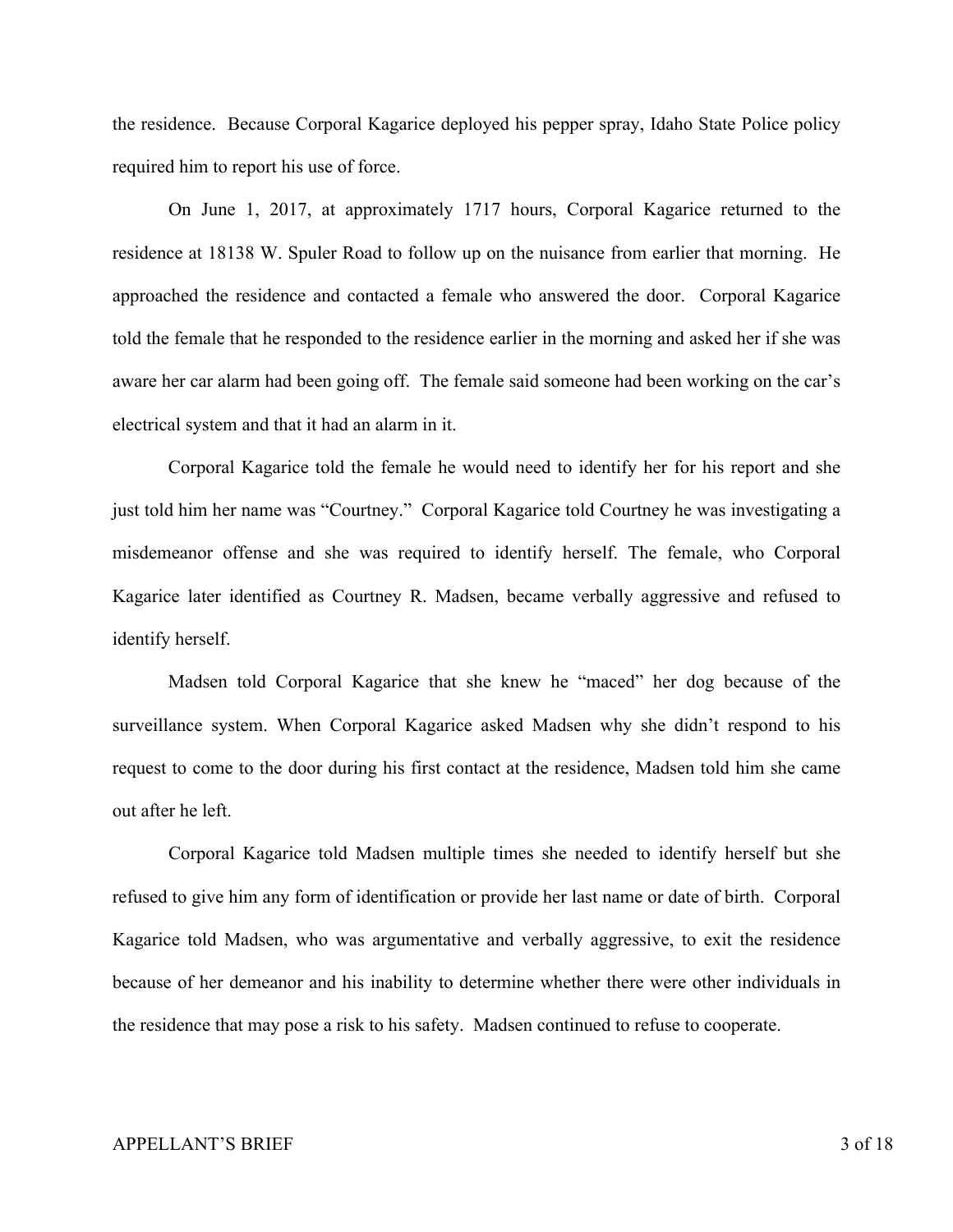the residence. Because Corporal Kagarice deployed his pepper spray, Idaho State Police policy required him to report his use of force.

 On June 1, 2017, at approximately 1717 hours, Corporal Kagarice returned to the residence at 18138 W. Spuler Road to follow up on the nuisance from earlier that morning. He approached the residence and contacted a female who answered the door. Corporal Kagarice told the female that he responded to the residence earlier in the morning and asked her if she was aware her car alarm had been going off. The female said someone had been working on the car's electrical system and that it had an alarm in it.

 Corporal Kagarice told the female he would need to identify her for his report and she just told him her name was "Courtney." Corporal Kagarice told Courtney he was investigating a misdemeanor offense and she was required to identify herself. The female, who Corporal Kagarice later identified as Courtney R. Madsen, became verbally aggressive and refused to identify herself.

Madsen told Corporal Kagarice that she knew he "maced" her dog because of the surveillance system. When Corporal Kagarice asked Madsen why she didn't respond to his request to come to the door during his first contact at the residence, Madsen told him she came out after he left.

 Corporal Kagarice told Madsen multiple times she needed to identify herself but she refused to give him any form of identification or provide her last name or date of birth. Corporal Kagarice told Madsen, who was argumentative and verbally aggressive, to exit the residence because of her demeanor and his inability to determine whether there were other individuals in the residence that may pose a risk to his safety. Madsen continued to refuse to cooperate.

#### APPELLANT'S BRIEF 3 of 18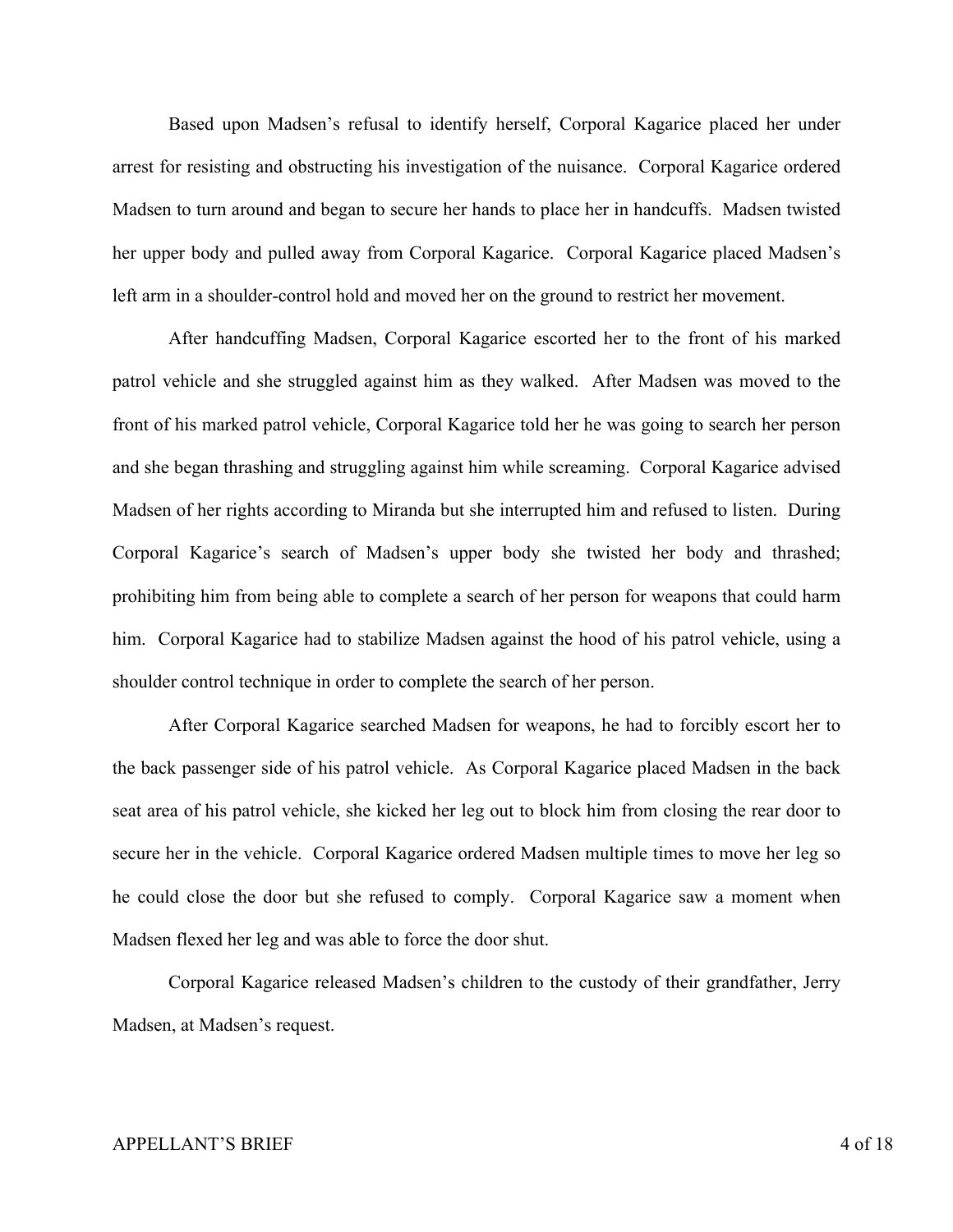Based upon Madsen's refusal to identify herself, Corporal Kagarice placed her under arrest for resisting and obstructing his investigation of the nuisance. Corporal Kagarice ordered Madsen to turn around and began to secure her hands to place her in handcuffs. Madsen twisted her upper body and pulled away from Corporal Kagarice. Corporal Kagarice placed Madsen's left arm in a shoulder-control hold and moved her on the ground to restrict her movement.

After handcuffing Madsen, Corporal Kagarice escorted her to the front of his marked patrol vehicle and she struggled against him as they walked. After Madsen was moved to the front of his marked patrol vehicle, Corporal Kagarice told her he was going to search her person and she began thrashing and struggling against him while screaming. Corporal Kagarice advised Madsen of her rights according to Miranda but she interrupted him and refused to listen. During Corporal Kagarice's search of Madsen's upper body she twisted her body and thrashed; prohibiting him from being able to complete a search of her person for weapons that could harm him. Corporal Kagarice had to stabilize Madsen against the hood of his patrol vehicle, using a shoulder control technique in order to complete the search of her person.

 After Corporal Kagarice searched Madsen for weapons, he had to forcibly escort her to the back passenger side of his patrol vehicle. As Corporal Kagarice placed Madsen in the back seat area of his patrol vehicle, she kicked her leg out to block him from closing the rear door to secure her in the vehicle. Corporal Kagarice ordered Madsen multiple times to move her leg so he could close the door but she refused to comply. Corporal Kagarice saw a moment when Madsen flexed her leg and was able to force the door shut.

 Corporal Kagarice released Madsen's children to the custody of their grandfather, Jerry Madsen, at Madsen's request.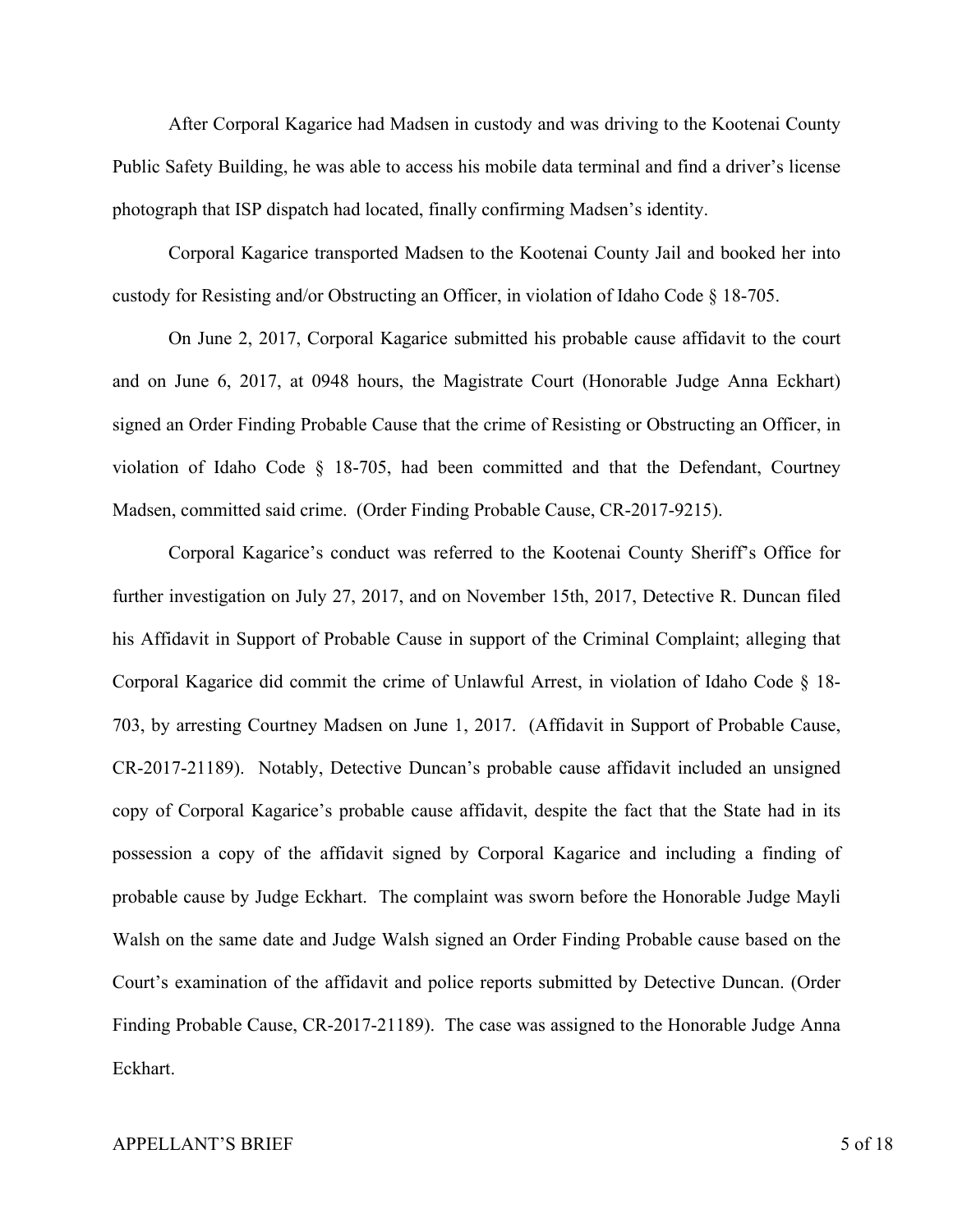After Corporal Kagarice had Madsen in custody and was driving to the Kootenai County Public Safety Building, he was able to access his mobile data terminal and find a driver's license photograph that ISP dispatch had located, finally confirming Madsen's identity.

Corporal Kagarice transported Madsen to the Kootenai County Jail and booked her into custody for Resisting and/or Obstructing an Officer, in violation of Idaho Code  $\S$  18-705.

On June 2, 2017, Corporal Kagarice submitted his probable cause affidavit to the court and on June 6, 2017, at 0948 hours, the Magistrate Court (Honorable Judge Anna Eckhart) signed an Order Finding Probable Cause that the crime of Resisting or Obstructing an Officer, in violation of Idaho Code § 18-705, had been committed and that the Defendant, Courtney Madsen, committed said crime. (Order Finding Probable Cause, CR-2017-9215).

Corporal Kagarice's conduct was referred to the Kootenai County Sheriff's Office for further investigation on July 27, 2017, and on November 15th, 2017, Detective R. Duncan filed his Affidavit in Support of Probable Cause in support of the Criminal Complaint; alleging that Corporal Kagarice did commit the crime of Unlawful Arrest, in violation of Idaho Code § 18- 703, by arresting Courtney Madsen on June 1, 2017. (Affidavit in Support of Probable Cause, CR-2017-21189). Notably, Detective Duncan's probable cause affidavit included an unsigned copy of Corporal Kagarice's probable cause affidavit, despite the fact that the State had in its possession a copy of the affidavit signed by Corporal Kagarice and including a finding of probable cause by Judge Eckhart. The complaint was sworn before the Honorable Judge Mayli Walsh on the same date and Judge Walsh signed an Order Finding Probable cause based on the Court's examination of the affidavit and police reports submitted by Detective Duncan. (Order Finding Probable Cause, CR-2017-21189). The case was assigned to the Honorable Judge Anna Eckhart.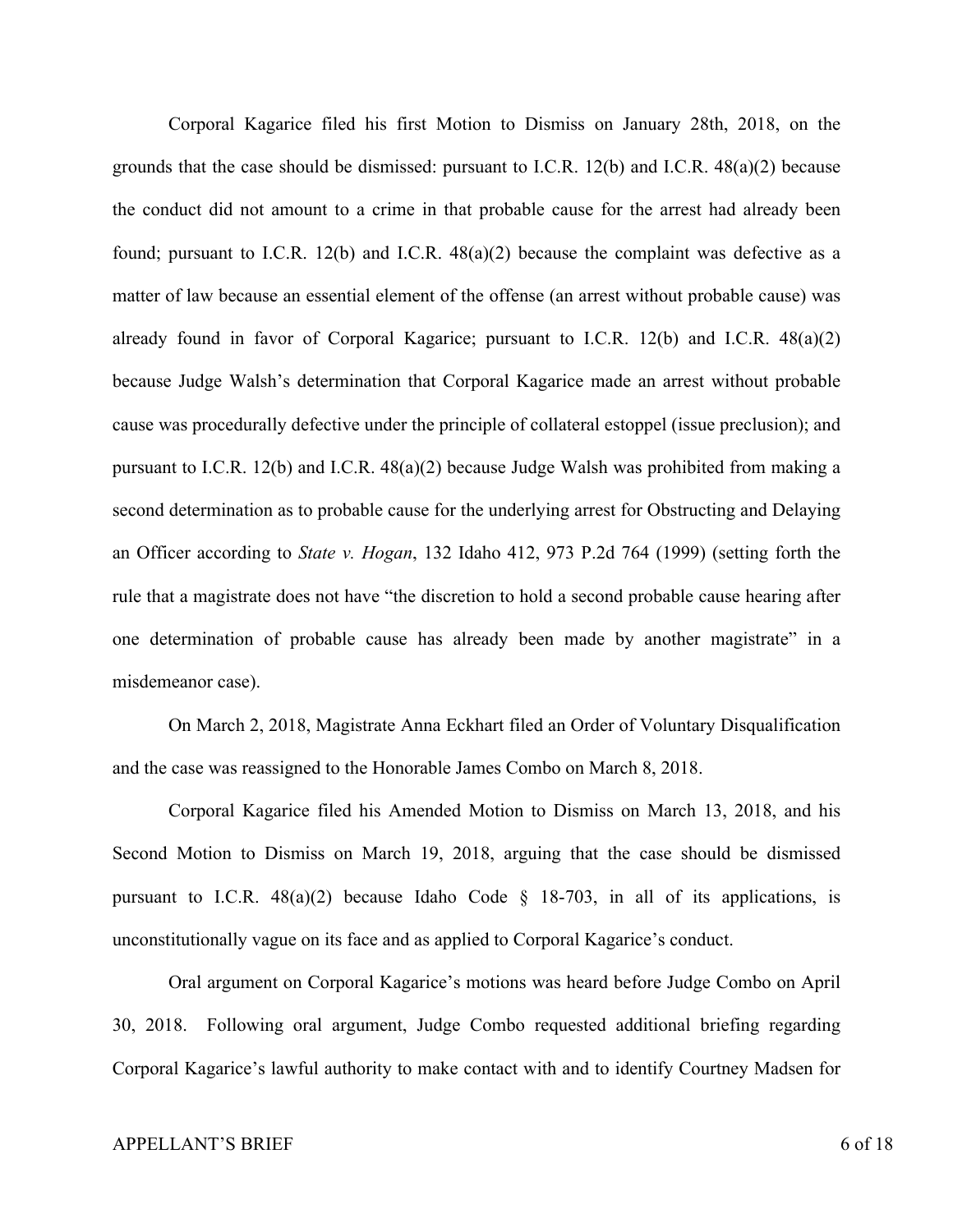Corporal Kagarice filed his first Motion to Dismiss on January 28th, 2018, on the grounds that the case should be dismissed: pursuant to I.C.R. 12(b) and I.C.R. 48(a)(2) because the conduct did not amount to a crime in that probable cause for the arrest had already been found; pursuant to I.C.R. 12(b) and I.C.R. 48(a)(2) because the complaint was defective as a matter of law because an essential element of the offense (an arrest without probable cause) was already found in favor of Corporal Kagarice; pursuant to I.C.R. 12(b) and I.C.R. 48(a)(2) because Judge Walsh's determination that Corporal Kagarice made an arrest without probable cause was procedurally defective under the principle of collateral estoppel (issue preclusion); and pursuant to I.C.R. 12(b) and I.C.R. 48(a)(2) because Judge Walsh was prohibited from making a second determination as to probable cause for the underlying arrest for Obstructing and Delaying an Officer according to *State v. Hogan*, 132 Idaho 412, 973 P.2d 764 (1999) (setting forth the rule that a magistrate does not have "the discretion to hold a second probable cause hearing after one determination of probable cause has already been made by another magistrate" in a misdemeanor case).

On March 2, 2018, Magistrate Anna Eckhart filed an Order of Voluntary Disqualification and the case was reassigned to the Honorable James Combo on March 8, 2018.

Corporal Kagarice filed his Amended Motion to Dismiss on March 13, 2018, and his Second Motion to Dismiss on March 19, 2018, arguing that the case should be dismissed pursuant to I.C.R.  $48(a)(2)$  because Idaho Code § 18-703, in all of its applications, is unconstitutionally vague on its face and as applied to Corporal Kagarice's conduct.

Oral argument on Corporal Kagarice's motions was heard before Judge Combo on April 30, 2018. Following oral argument, Judge Combo requested additional briefing regarding Corporal Kagarice's lawful authority to make contact with and to identify Courtney Madsen for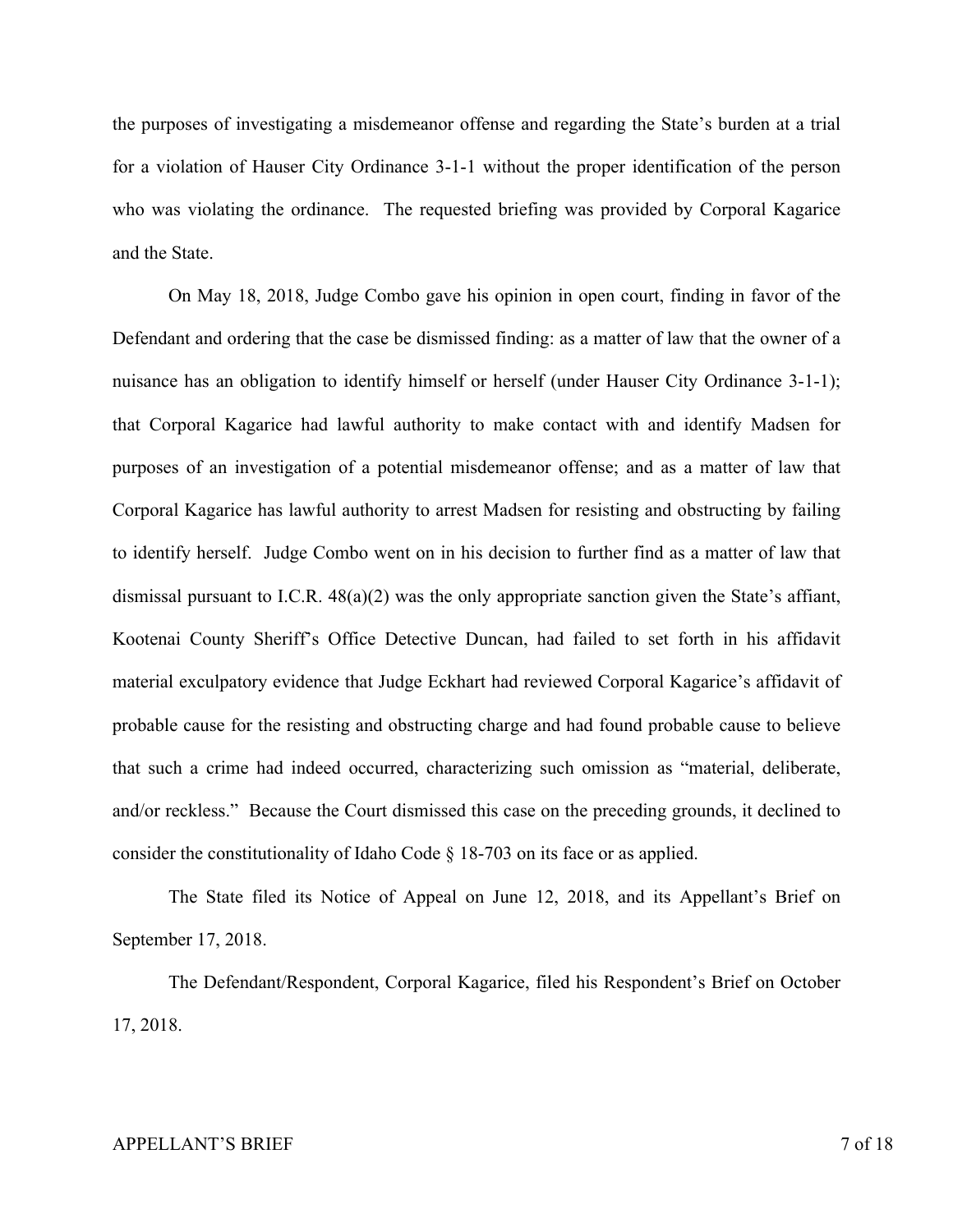the purposes of investigating a misdemeanor offense and regarding the State's burden at a trial for a violation of Hauser City Ordinance 3-1-1 without the proper identification of the person who was violating the ordinance. The requested briefing was provided by Corporal Kagarice and the State.

On May 18, 2018, Judge Combo gave his opinion in open court, finding in favor of the Defendant and ordering that the case be dismissed finding: as a matter of law that the owner of a nuisance has an obligation to identify himself or herself (under Hauser City Ordinance 3-1-1); that Corporal Kagarice had lawful authority to make contact with and identify Madsen for purposes of an investigation of a potential misdemeanor offense; and as a matter of law that Corporal Kagarice has lawful authority to arrest Madsen for resisting and obstructing by failing to identify herself. Judge Combo went on in his decision to further find as a matter of law that dismissal pursuant to I.C.R.  $48(a)(2)$  was the only appropriate sanction given the State's affiant, Kootenai County Sheriff's Office Detective Duncan, had failed to set forth in his affidavit material exculpatory evidence that Judge Eckhart had reviewed Corporal Kagarice's affidavit of probable cause for the resisting and obstructing charge and had found probable cause to believe that such a crime had indeed occurred, characterizing such omission as "material, deliberate, and/or reckless." Because the Court dismissed this case on the preceding grounds, it declined to consider the constitutionality of Idaho Code § 18-703 on its face or as applied.

The State filed its Notice of Appeal on June 12, 2018, and its Appellant's Brief on September 17, 2018.

The Defendant/Respondent, Corporal Kagarice, filed his Respondent's Brief on October 17, 2018.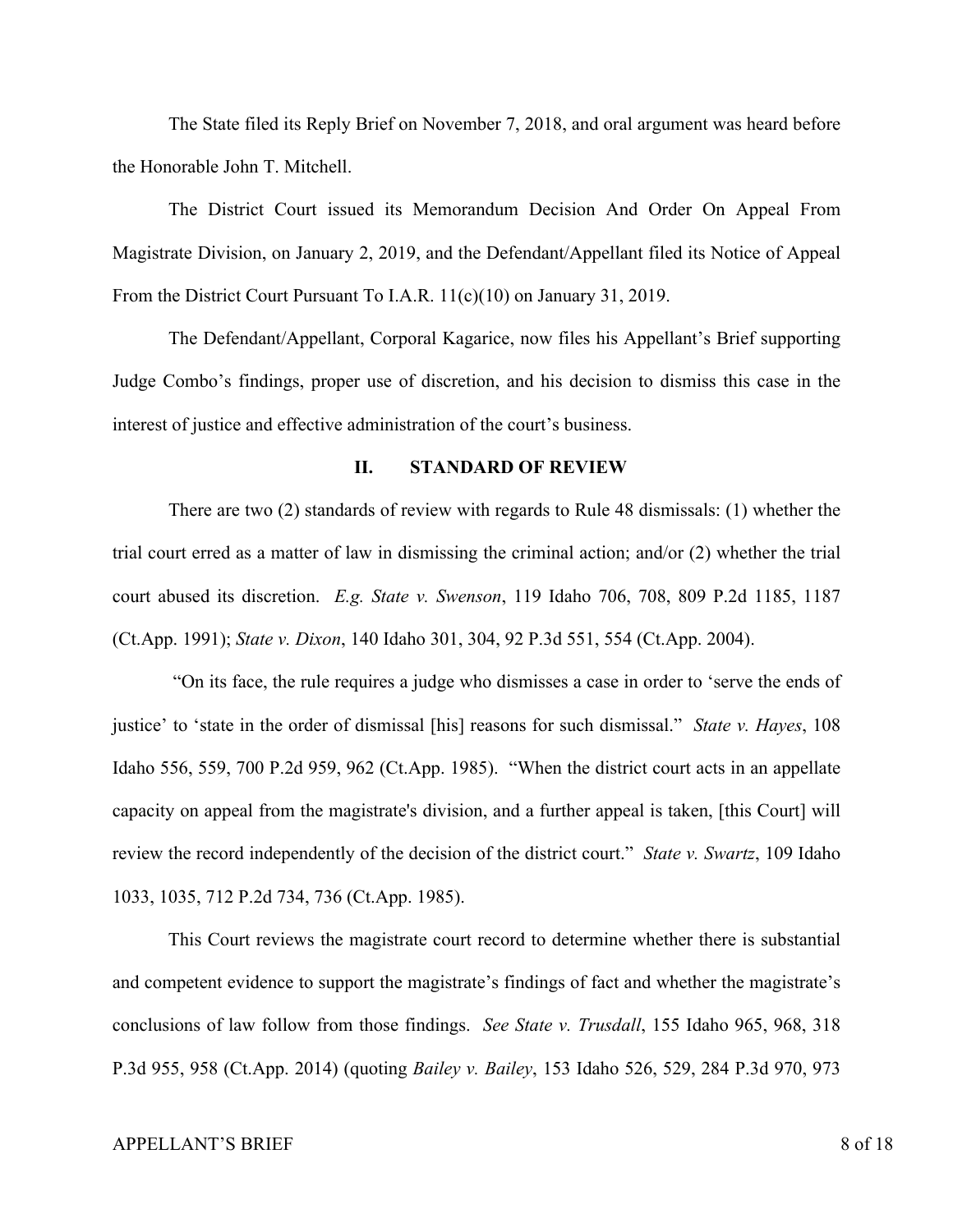The State filed its Reply Brief on November 7, 2018, and oral argument was heard before the Honorable John T. Mitchell.

The District Court issued its Memorandum Decision And Order On Appeal From Magistrate Division, on January 2, 2019, and the Defendant/Appellant filed its Notice of Appeal From the District Court Pursuant To I.A.R. 11(c)(10) on January 31, 2019.

The Defendant/Appellant, Corporal Kagarice, now files his Appellant's Brief supporting Judge Combo's findings, proper use of discretion, and his decision to dismiss this case in the interest of justice and effective administration of the court's business.

#### **II. STANDARD OF REVIEW**

There are two (2) standards of review with regards to Rule 48 dismissals: (1) whether the trial court erred as a matter of law in dismissing the criminal action; and/or (2) whether the trial court abused its discretion. *E.g. State v. Swenson*, 119 Idaho 706, 708, 809 P.2d 1185, 1187 (Ct.App. 1991); *State v. Dixon*, 140 Idaho 301, 304, 92 P.3d 551, 554 (Ct.App. 2004).

"On its face, the rule requires a judge who dismisses a case in order to 'serve the ends of justice' to 'state in the order of dismissal [his] reasons for such dismissal." *State v. Hayes*, 108 Idaho 556, 559, 700 P.2d 959, 962 (Ct.App. 1985). "When the district court acts in an appellate capacity on appeal from the magistrate's division, and a further appeal is taken, [this Court] will review the record independently of the decision of the district court." *State v. Swartz*, 109 Idaho 1033, 1035, 712 P.2d 734, 736 (Ct.App. 1985).

This Court reviews the magistrate court record to determine whether there is substantial and competent evidence to support the magistrate's findings of fact and whether the magistrate's conclusions of law follow from those findings. *See State v. Trusdall*, 155 Idaho 965, 968, 318 P.3d 955, 958 (Ct.App. 2014) (quoting *Bailey v. Bailey*, 153 Idaho 526, 529, 284 P.3d 970, 973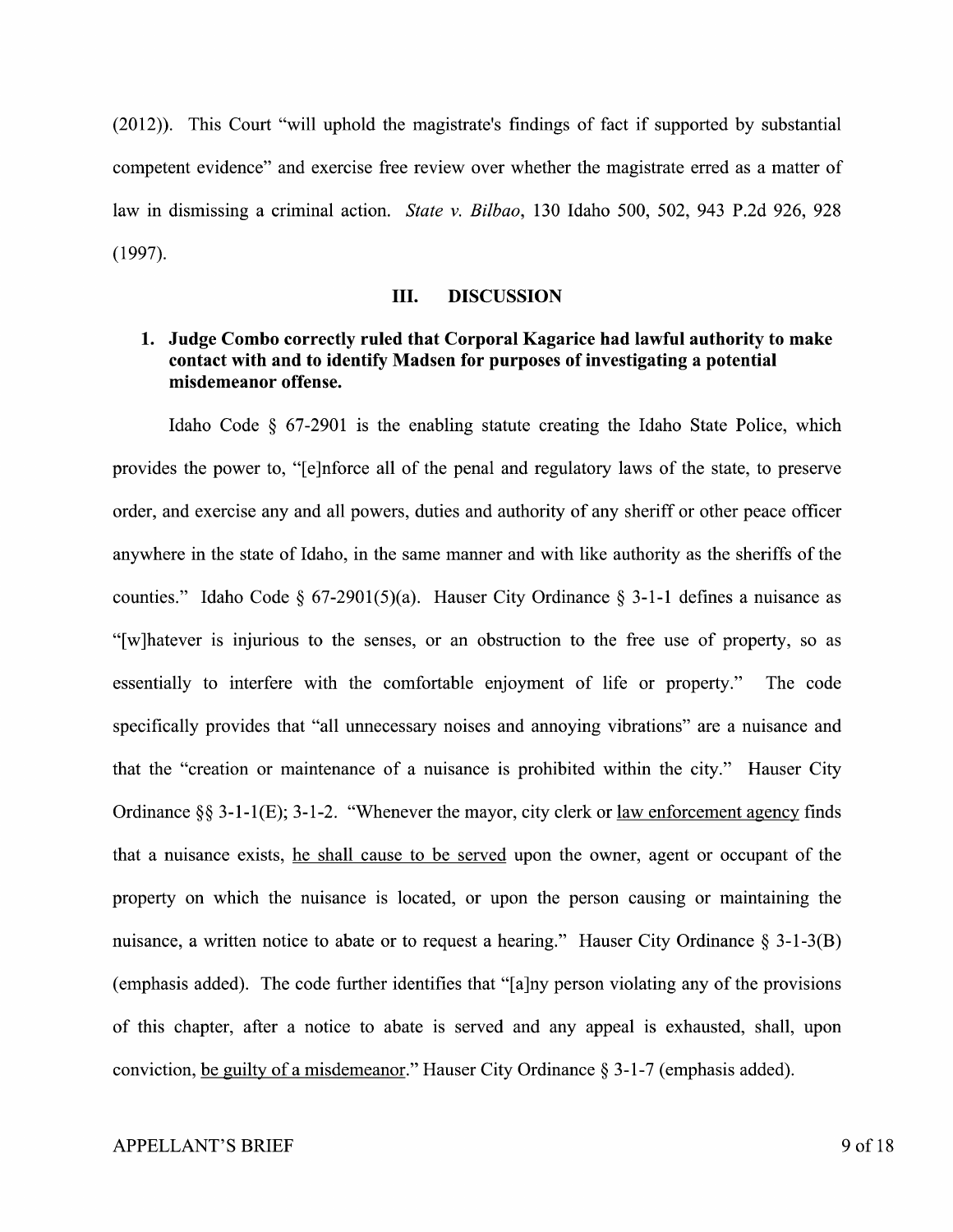(2012)). This Court "will uphold the magistrate's findings of fact if supported by substantial competent evidence" and exercise free review over whether the magistrate erred as a matter of law in dismissing a criminal action. *State v. Bilbao,* 130 Idaho 500, 502, 943 P.2d 926, 928 (1997).

#### III. **DISCUSSION**

## **1. Judge Combo correctly ruled that Corporal Kagarice had lawful authority to make contact with and to identify Madsen for purposes of investigating a potential misdemeanor offense.**

Idaho Code § 67-2901 is the enabling statute creating the Idaho State Police, which provides the power to, "[ e ]nforce all of the penal and regulatory laws of the state, to preserve order, and exercise any and all powers, duties and authority of any sheriff or other peace officer anywhere in the state of Idaho, in the same manner and with like authority as the sheriffs of the counties." Idaho Code § 67-2901(5)(a). Hauser City Ordinance § 3-1-1 defines a nuisance as "[w]hatever is injurious to the senses, or an obstruction to the free use of property, so as essentially to interfere with the comfortable enjoyment of life or property." The code specifically provides that "all unnecessary noises and annoying vibrations" are a nuisance and that the "creation or maintenance of a nuisance is prohibited within the city." Hauser City Ordinance§§ 3-1-l(E); 3-1-2. "Whenever the mayor, city clerk or law enforcement agency finds that a nuisance exists, he shall cause to be served upon the owner, agent or occupant of the property on which the nuisance is located, or upon the person causing or maintaining the nuisance, a written notice to abate or to request a hearing." Hauser City Ordinance § 3-1-3(B) (emphasis added). The code further identifies that " $[a]$ ny person violating any of the provisions of this chapter, after a notice to abate is served and any appeal is exhausted, shall, upon conviction, be guilty of a misdemeanor." Hauser City Ordinance  $\S 3$ -1-7 (emphasis added).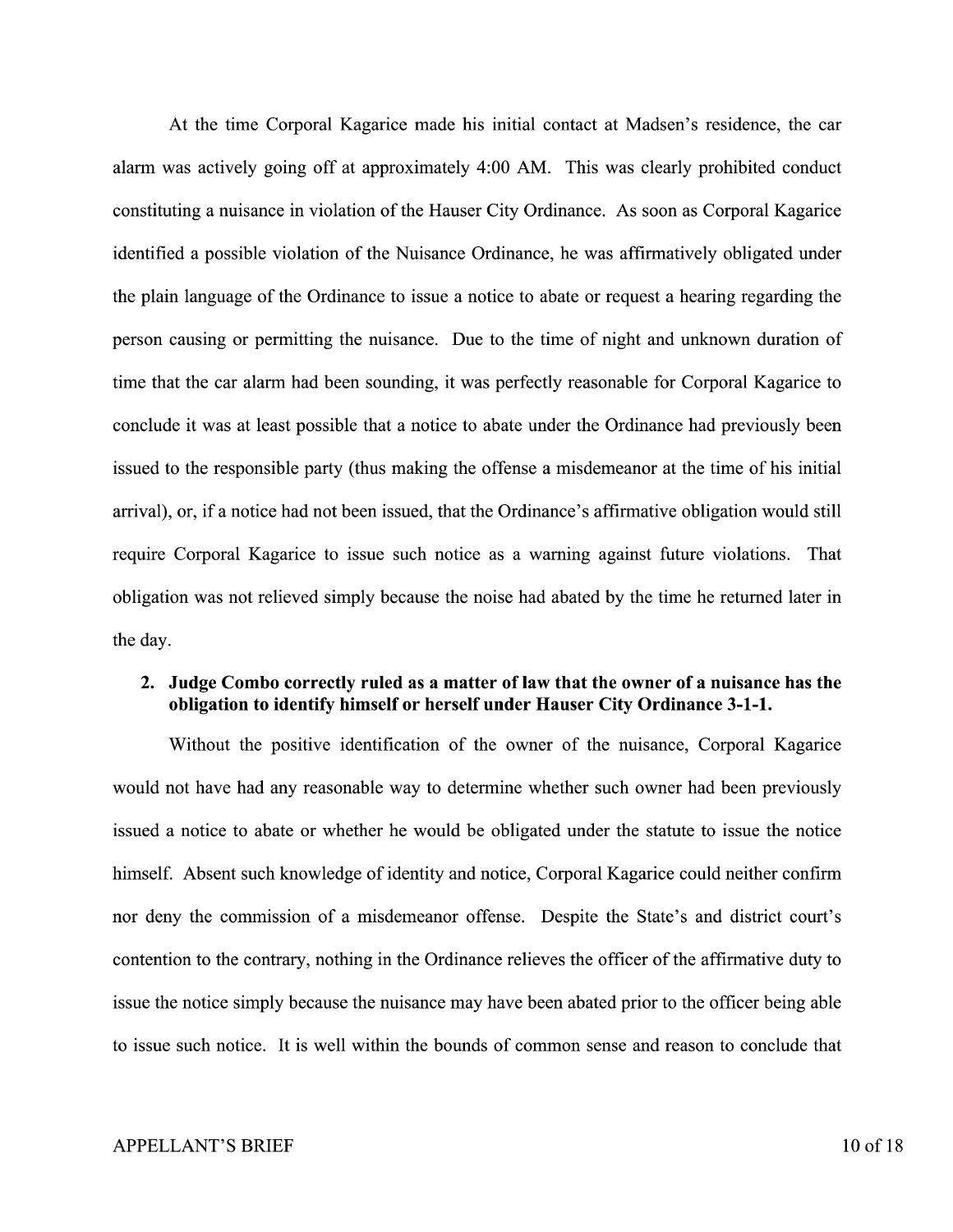At the time Corporal Kagarice made his initial contact at Madsen's residence, the car alarm was actively going off at approximately 4:00 AM. This was clearly prohibited conduct constituting a nuisance in violation of the Hauser City Ordinance. As soon as Corporal Kagarice identified a possible violation of the Nuisance Ordinance, he was affirmatively obligated under the plain language of the Ordinance to issue a notice to abate or request a hearing regarding the person causing or permitting the nuisance. Due to the time of night and unknown duration of time that the car alarm had been sounding, it was perfectly reasonable for Corporal Kagarice to conclude it was at least possible that a notice to abate under the Ordinance had previously been issued to the responsible party (thus making the offense a misdemeanor at the time of his initial arrival), or, if a notice had not been issued, that the Ordinance's affirmative obligation would still require Corporal Kagarice to issue such notice as a warning against future violations. That obligation was not relieved simply because the noise had abated by the time he returned later in the day.

### **2. Judge Combo correctly ruled as a matter of law that the owner of a nuisance has the obligation to identify himself or herself under Hauser City Ordinance 3-1-1.**

Without the positive identification of the owner of the nuisance, Corporal Kagarice would not have had any reasonable way to determine whether such owner had been previously issued a notice to abate or whether he would be obligated under the statute to issue the notice himself. Absent such knowledge of identity and notice, Corporal Kagarice could neither confirm nor deny the commission of a misdemeanor offense. Despite the State's and district court's contention to the contrary, nothing in the Ordinance relieves the officer of the affirmative duty to issue the notice simply because the nuisance may have been abated prior to the officer being able to issue such notice. It is well within the bounds of common sense and reason to conclude that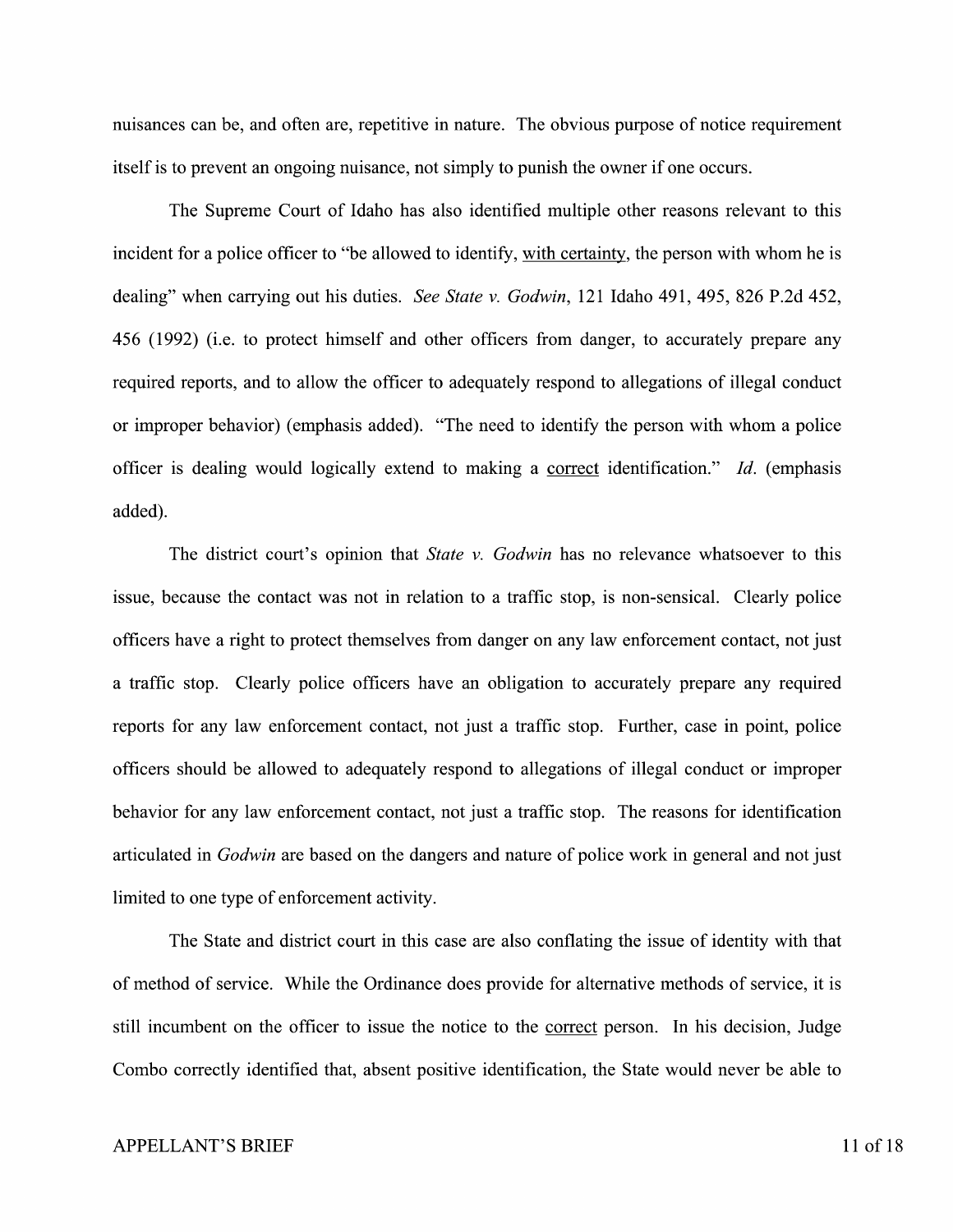nuisances can be, and often are, repetitive in nature. The obvious purpose of notice requirement itself is to prevent an ongoing nuisance, not simply to punish the owner if one occurs.

The Supreme Court of Idaho has also identified multiple other reasons relevant to this incident for a police officer to "be allowed to identify, with certainty, the person with whom he is dealing" when carrying out his duties. *See State v. Godwin,* 121 Idaho 491, 495, 826 P.2d 452, 456 (1992) (i.e. to protect himself and other officers from danger, to accurately prepare any required reports, and to allow the officer to adequately respond to allegations of illegal conduct or improper behavior) (emphasis added). "The need to identify the person with whom a police officer is dealing would logically extend to making a correct identification." *Id.* ( emphasis added).

The district court's opinion that *State v. Godwin* has no relevance whatsoever to this issue, because the contact was not in relation to a traffic stop, is non-sensical. Clearly police officers have a right to protect themselves from danger on any law enforcement contact, not just a traffic stop. Clearly police officers have an obligation to accurately prepare any required reports for any law enforcement contact, not just a traffic stop. Further, case in point, police officers should be allowed to adequately respond to allegations of illegal conduct or improper behavior for any law enforcement contact, not just a traffic stop. The reasons for identification articulated in *Godwin* are based on the dangers and nature of police work in general and not just limited to one type of enforcement activity.

The State and district court in this case are also conflating the issue of identity with that of method of service. While the Ordinance does provide for alternative methods of service, it is still incumbent on the officer to issue the notice to the correct person. In his decision, Judge Combo correctly identified that, absent positive identification, the State would never be able to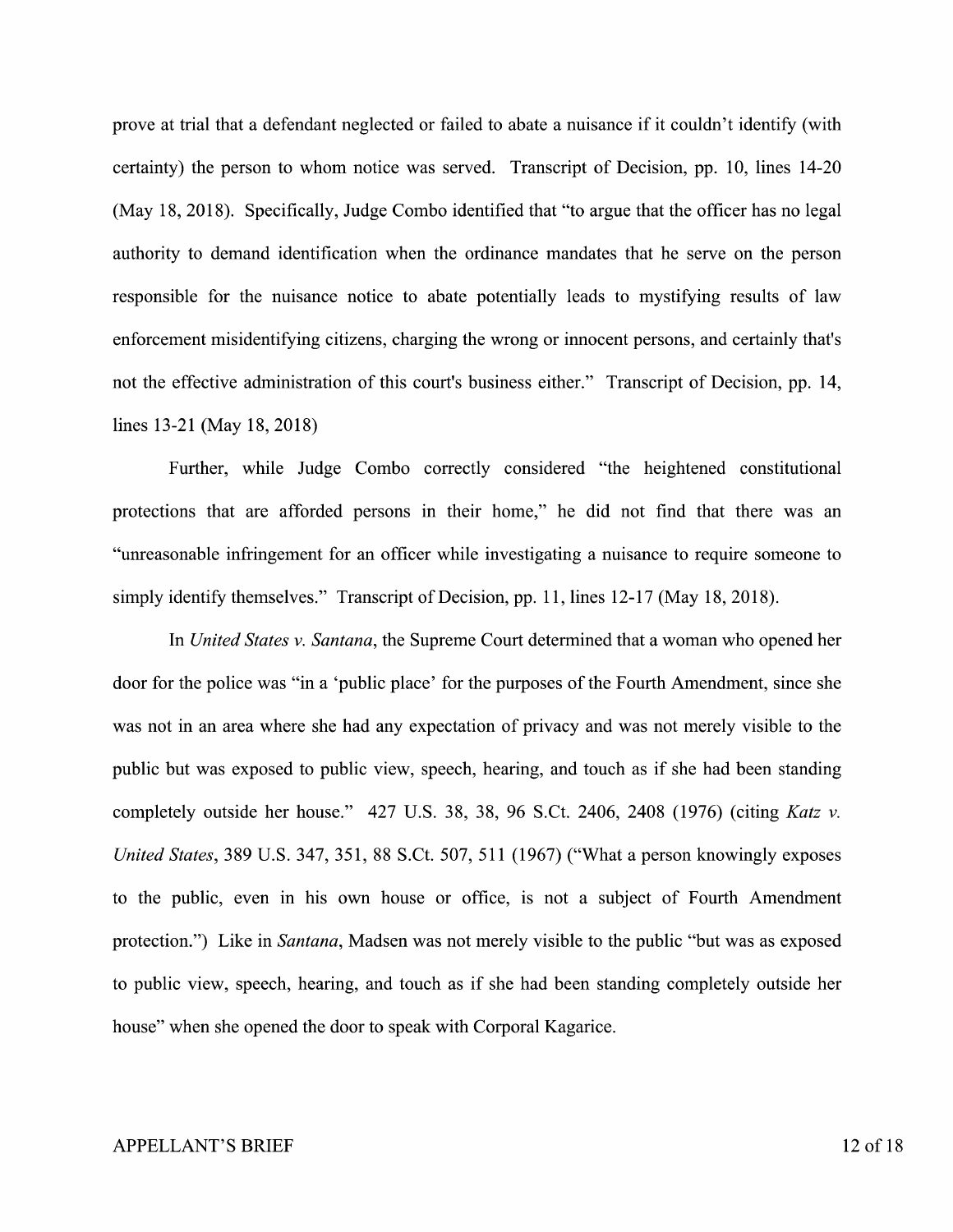prove at trial that a defendant neglected or failed to abate a nuisance if it couldn't identify (with certainty) the person to whom notice was served. Transcript of Decision, pp. 10, lines 14-20 (May 18, 2018). Specifically, Judge Combo identified that "to argue that the officer has no legal authority to demand identification when the ordinance mandates that he serve on the person responsible for the nuisance notice to abate potentially leads to mystifying results of law enforcement misidentifying citizens, charging the wrong or innocent persons, and certainly that's not the effective administration of this court's business either." Transcript of Decision, pp. 14, lines 13-21 (May 18, 2018)

Further, while Judge Combo correctly considered "the heightened constitutional protections that are afforded persons in their home," he did not find that there was an "unreasonable infringement for an officer while investigating a nuisance to require someone to simply identify themselves." Transcript of Decision, pp. 11, lines 12-17 (May 18, 2018).

In *United States v. Santana,* the Supreme Court determined that a woman who opened her door for the police was "in a 'public place' for the purposes of the Fourth Amendment, since she was not in an area where she had any expectation of privacy and was not merely visible to the public but was exposed to public view, speech, hearing, and touch as if she had been standing completely outside her house." 427 U.S. 38, 38, 96 S.Ct. 2406, 2408 (1976) (citing *Katz v. United States,* 389 U.S. 347, 351, 88 S.Ct. 507, 511 (1967) ("What a person knowingly exposes to the public, even in his own house or office, is not a subject of Fourth Amendment protection.") Like in *Santana,* Madsen was not merely visible to the public "but was as exposed to public view, speech, hearing, and touch as if she had been standing completely outside her house" when she opened the door to speak with Corporal Kagarice.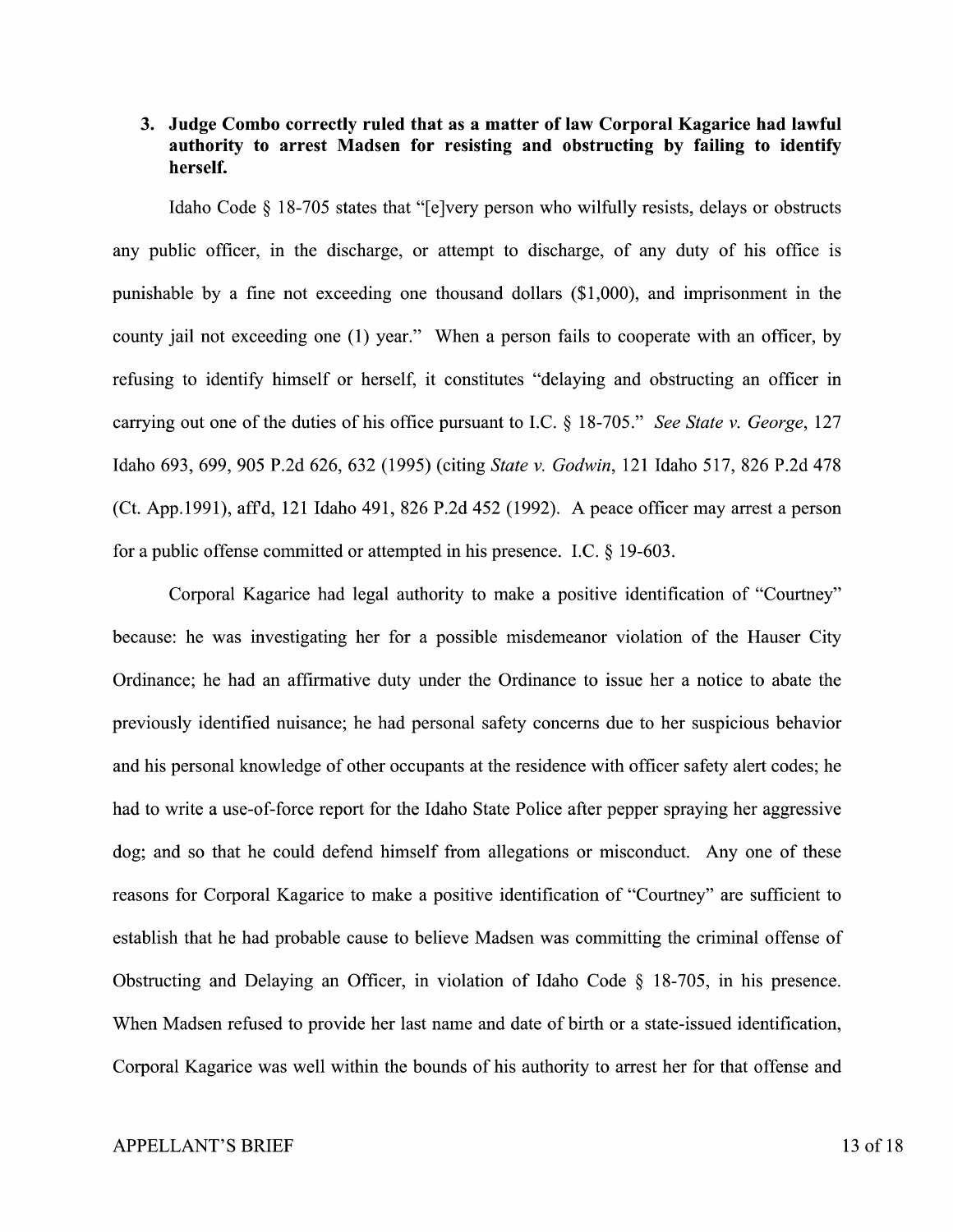### **3. Judge Combo correctly ruled that as a matter of law Corporal Kagarice had lawful authority to arrest Madsen for resisting and obstructing by failing to identify herself.**

Idaho Code § 18-705 states that "[e]very person who wilfully resists, delays or obstructs any public officer, in the discharge, or attempt to discharge, of any duty of his office is punishable by a fine not exceeding one thousand dollars (\$1,000), and imprisonment in the county jail not exceeding one (1) year." When a person fails to cooperate with an officer, by refusing to identify himself or herself, it constitutes "delaying and obstructing an officer in carrying out one of the duties of his office pursuant to LC.§ 18-705." *See State v. George,* 127 Idaho 693, 699, 905 P.2d 626, 632 (1995) (citing *State v. Godwin,* 121 Idaho 517, 826 P.2d 478 (Ct. App.1991), affd, 121 Idaho 491, 826 P.2d 452 (1992). A peace officer may arrest a person for a public offense committed or attempted in his presence. LC. § 19-603.

Corporal Kagarice had legal authority to make a positive identification of "Courtney" because: he was investigating her for a possible misdemeanor violation of the Hauser City Ordinance; he had an affirmative duty under the Ordinance to issue her a notice to abate the previously identified nuisance; he had personal safety concerns due to her suspicious behavior and his personal knowledge of other occupants at the residence with officer safety alert codes; he had to write a use-of-force report for the Idaho State Police after pepper spraying her aggressive dog; and so that he could defend himself from allegations or misconduct. Any one of these reasons for Corporal Kagarice to make a positive identification of "Courtney" are sufficient to establish that he had probable cause to believe Madsen was committing the criminal offense of Obstructing and Delaying an Officer, in violation of Idaho Code § 18-705, in his presence. When Madsen refused to provide her last name and date of birth or a state-issued identification, Corporal Kagarice was well within the bounds of his authority to arrest her for that offense and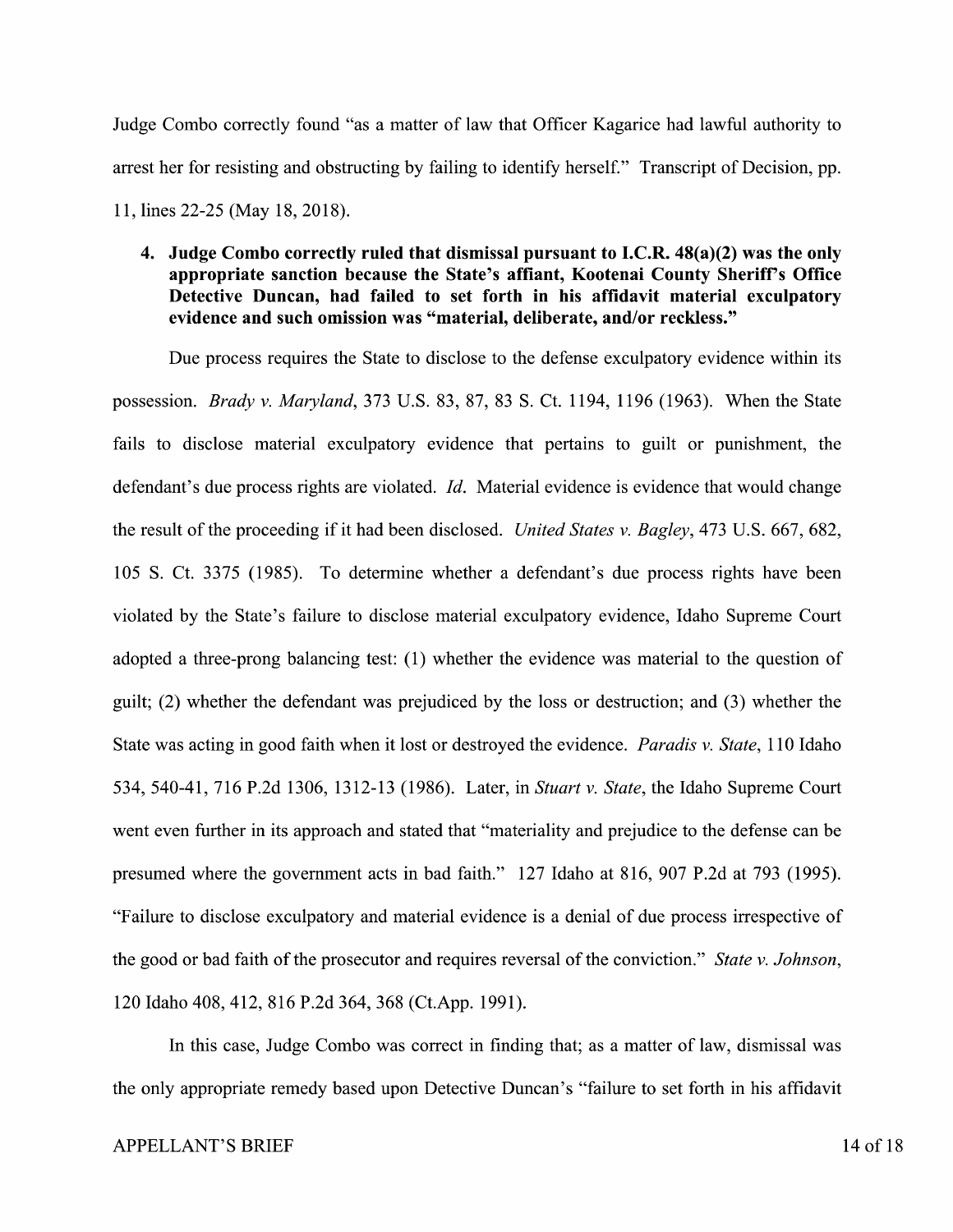Judge Combo correctly found "as a matter of law that Officer Kagarice had lawful authority to arrest her for resisting and obstructing by failing to identify herself." Transcript of Decision, pp. 11, lines 22-25 (May 18, 2018).

### **4. Judge Combo correctly ruled that dismissal pursuant to I.C.R. 48(a)(2) was the only appropriate sanction because the State's affiant, Kootenai County Sheriff's Office Detective Duncan, had failed to set forth in his affidavit material exculpatory evidence and such omission was "material, deliberate, and/or reckless."**

Due process requires the State to disclose to the defense exculpatory evidence within its possession. *Brady v. Maryland,* 373 U.S. 83, 87, 83 S. Ct. 1194, 1196 (1963). When the State fails to disclose material exculpatory evidence that pertains to guilt or punishment, the defendant's due process rights are violated. *Id.* Material evidence is evidence that would change the result of the proceeding if it had been disclosed. *United States v. Bagley,* 473 U.S. 667,682, 105 S. Ct. 3375 (1985). To determine whether a defendant's due process rights have been violated by the State's failure to disclose material exculpatory evidence, Idaho Supreme Court adopted a three-prong balancing test: (1) whether the evidence was material to the question of guilt; (2) whether the defendant was prejudiced by the loss or destruction; and (3) whether the State was acting in good faith when it lost or destroyed the evidence. *Paradis v. State,* 110 Idaho 534, 540-41, 716 P.2d 1306, 1312-13 (1986). Later, in *Stuart v. State,* the Idaho Supreme Court went even further in its approach and stated that "materiality and prejudice to the defense can be presumed where the government acts in bad faith." 127 Idaho at 816, 907 P.2d at 793 (1995). "Failure to disclose exculpatory and material evidence is a denial of due process irrespective of the good or bad faith of the prosecutor and requires reversal of the conviction." *State v. Johnson,*  120 Idaho 408, 412, 816 P.2d 364, 368 (Ct.App. 1991).

In this case, Judge Combo was correct in finding that; as a matter of law, dismissal was the only appropriate remedy based upon Detective Duncan's "failure to set forth in his affidavit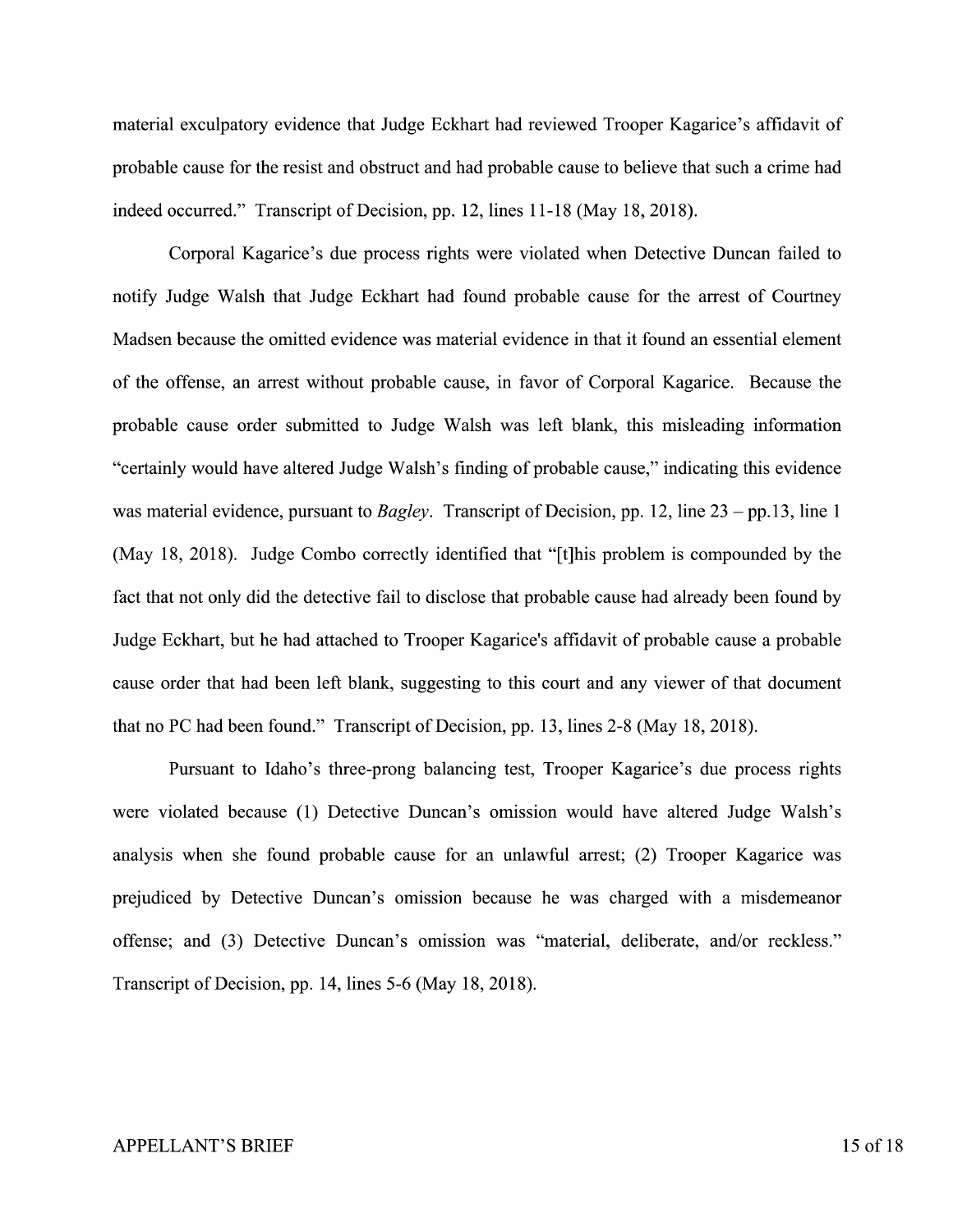material exculpatory evidence that Judge Eckhart had reviewed Trooper Kagarice's affidavit of probable cause for the resist and obstruct and had probable cause to believe that such a crime had indeed occurred." Transcript of Decision, pp. 12, lines 11-18 (May 18, 2018).

Corporal Kagarice's due process rights were violated when Detective Duncan failed to notify Judge Walsh that Judge Eckhart had found probable cause for the arrest of Courtney Madsen because the omitted evidence was material evidence in that it found an essential element of the offense, an arrest without probable cause, in favor of Corporal Kagarice. Because the probable cause order submitted to Judge Walsh was left blank, this misleading information "certainly would have altered Judge Walsh's finding of probable cause," indicating this evidence was material evidence, pursuant to *Bagley*. Transcript of Decision, pp. 12, line 23 – pp.13, line 1 (May 18, 2018). Judge Combo correctly identified that "[t]his problem is compounded by the fact that not only did the detective fail to disclose that probable cause had already been found by Judge Eckhart, but he had attached to Trooper Kagarice's affidavit of probable cause a probable cause order that had been left blank, suggesting to this court and any viewer of that document that no PC had been found." Transcript of Decision, pp. 13, lines 2-8 (May 18, 2018).

Pursuant to Idaho's three-prong balancing test, Trooper Kagarice's due process rights were violated because (1) Detective Duncan's omission would have altered Judge Walsh's analysis when she found probable cause for an unlawful arrest; (2) Trooper Kagarice was prejudiced by Detective Duncan's omission because he was charged with a misdemeanor offense; and (3) Detective Duncan's omission was "material, deliberate, and/or reckless." Transcript of Decision, pp. 14, lines 5-6 (May 18, 2018).

#### APPELLANT'S BRIEF 15 of 18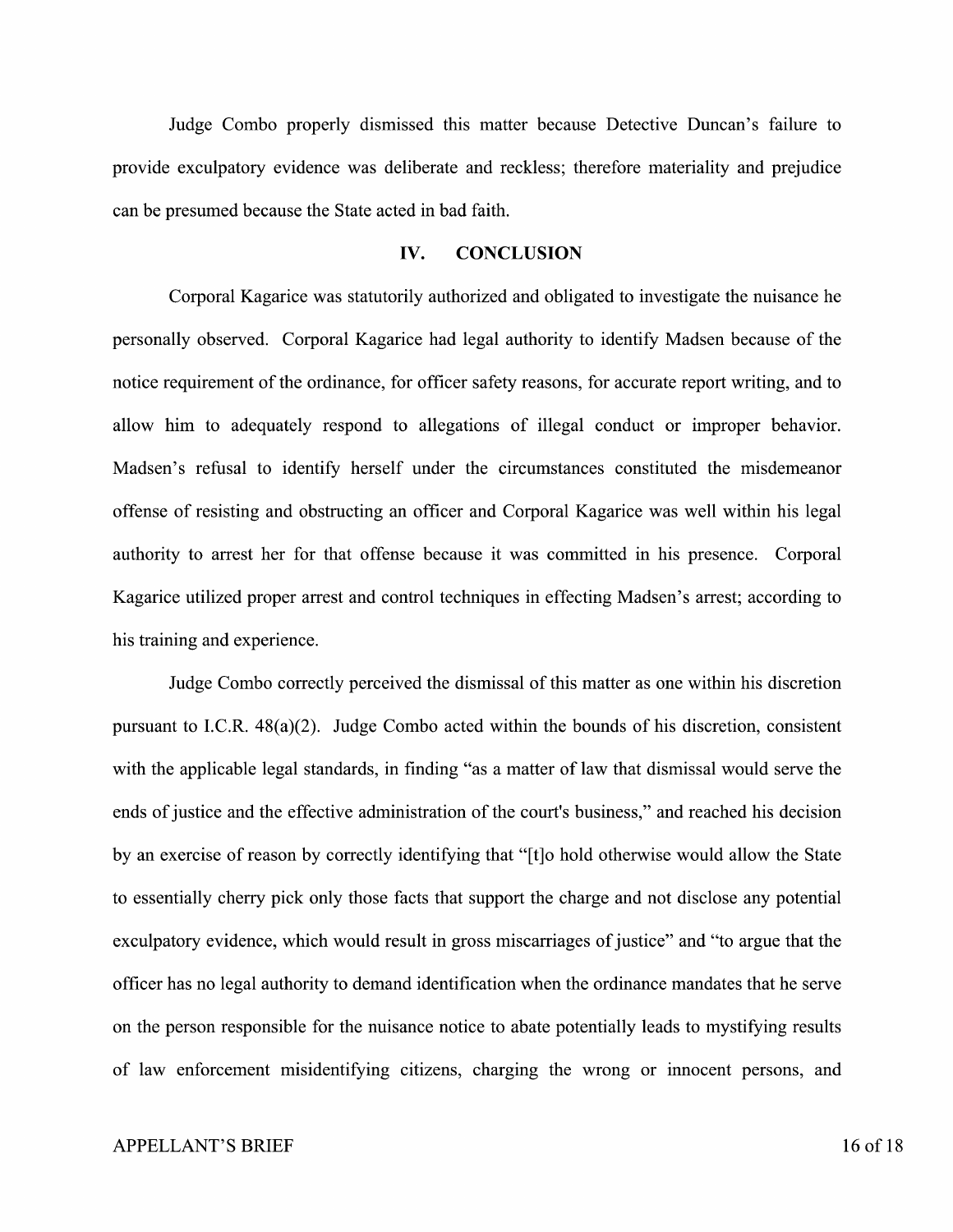Judge Combo properly dismissed this matter because Detective Duncan's failure to provide exculpatory evidence was deliberate and reckless; therefore materiality and prejudice can be presumed because the State acted in bad faith.

#### **IV. CONCLUSION**

Corporal Kagarice was statutorily authorized and obligated to investigate the nuisance he personally observed. Corporal Kagarice had legal authority to identify Madsen because of the notice requirement of the ordinance, for officer safety reasons, for accurate report writing, and to allow him to adequately respond to allegations of illegal conduct or improper behavior. Madsen's refusal to identify herself under the circumstances constituted the misdemeanor offense of resisting and obstructing an officer and Corporal Kagarice was well within his legal authority to arrest her for that offense because it was committed in his presence. Corporal Kagarice utilized proper arrest and control techniques in effecting Madsen's arrest; according to his training and experience.

Judge Combo correctly perceived the dismissal of this matter as one within his discretion pursuant to I.C.R. 48(a)(2). Judge Combo acted within the bounds of his discretion, consistent with the applicable legal standards, in finding "as a matter of law that dismissal would serve the ends of justice and the effective administration of the court's business," and reached his decision by an exercise of reason by correctly identifying that "[t]o hold otherwise would allow the State to essentially cherry pick only those facts that support the charge and not disclose any potential exculpatory evidence, which would result in gross miscarriages of justice" and "to argue that the officer has no legal authority to demand identification when the ordinance mandates that he serve on the person responsible for the nuisance notice to abate potentially leads to mystifying results of law enforcement misidentifying citizens, charging the wrong or innocent persons, and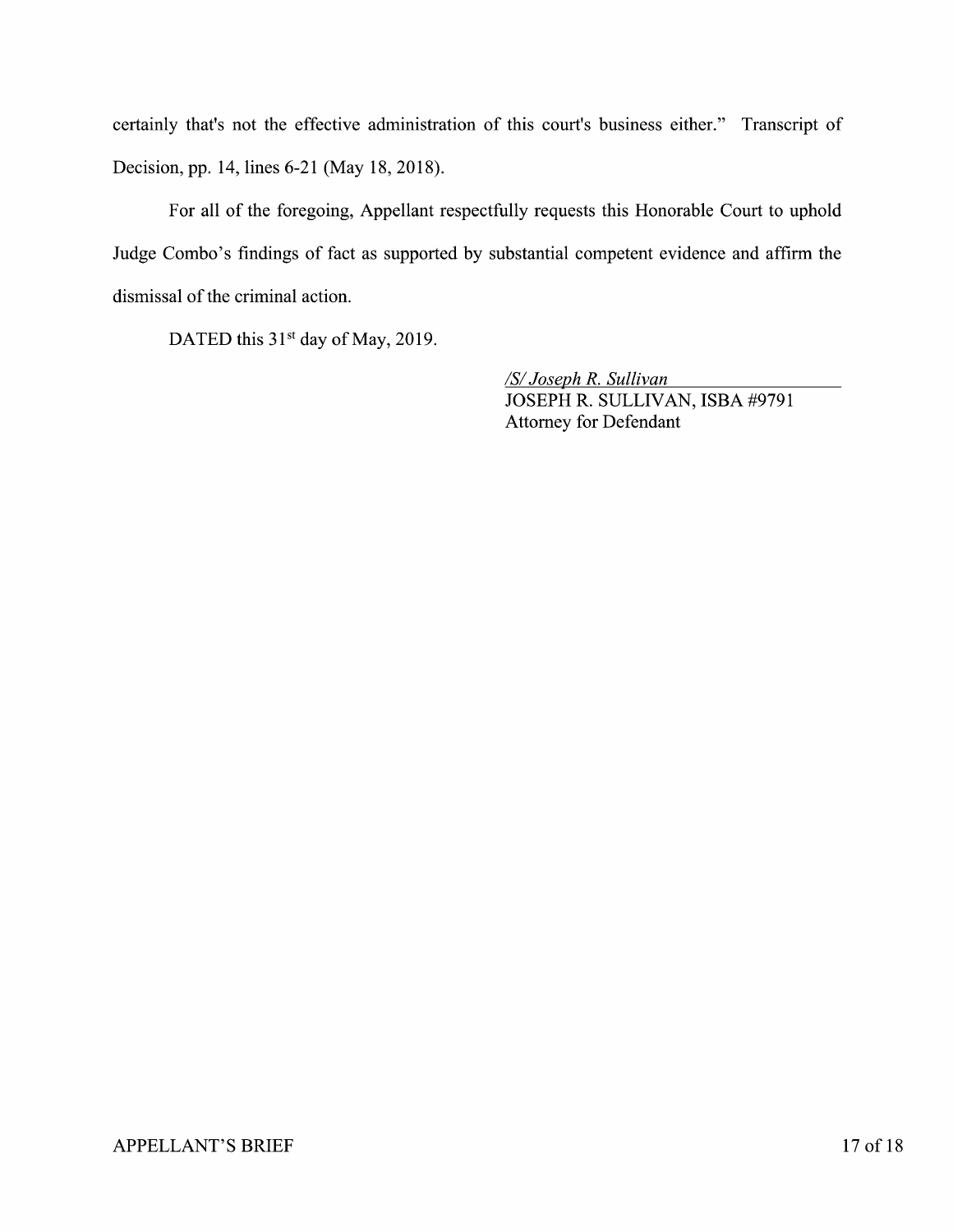certainly that's not the effective administration of this court's business either." Transcript of Decision, pp. 14, lines 6-21 (May 18, 2018).

For all of the foregoing, Appellant respectfully requests this Honorable Court to uphold Judge Combo's findings of fact as supported by substantial competent evidence and affirm the dismissal of the criminal action.

DATED this  $31<sup>st</sup>$  day of May, 2019.

*ISi Joseph R. Sullivan*  JOSEPH R. SULLIVAN, ISBA #9791 Attorney for Defendant